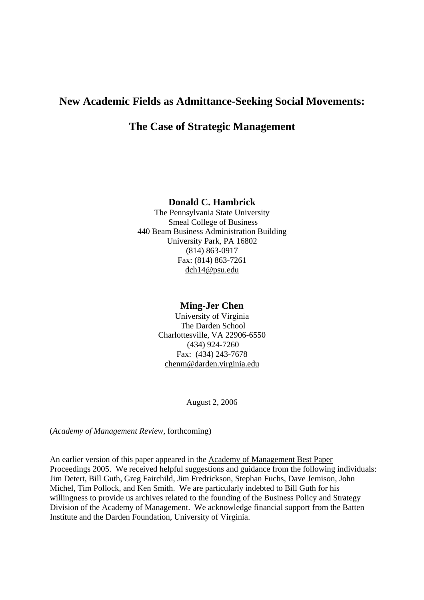# **New Academic Fields as Admittance-Seeking Social Movements:**

## **The Case of Strategic Management**

#### **Donald C. Hambrick**

The Pennsylvania State University Smeal College of Business 440 Beam Business Administration Building University Park, PA 16802 (814) 863-0917 Fax: (814) 863-7261 dch14@psu.edu

#### **Ming-Jer Chen**

University of Virginia The Darden School Charlottesville, VA 22906-6550 (434) 924-7260 Fax: (434) 243-7678 chenm@darden.virginia.edu

August 2, 2006

(*Academy of Management Review*, forthcoming)

An earlier version of this paper appeared in the Academy of Management Best Paper Proceedings 2005. We received helpful suggestions and guidance from the following individuals: Jim Detert, Bill Guth, Greg Fairchild, Jim Fredrickson, Stephan Fuchs, Dave Jemison, John Michel, Tim Pollock, and Ken Smith. We are particularly indebted to Bill Guth for his willingness to provide us archives related to the founding of the Business Policy and Strategy Division of the Academy of Management. We acknowledge financial support from the Batten Institute and the Darden Foundation, University of Virginia.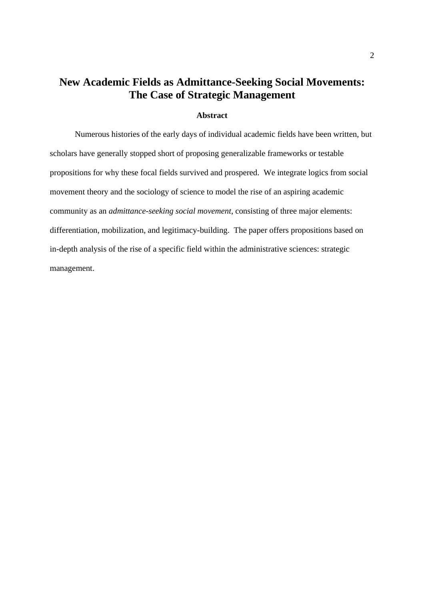# **New Academic Fields as Admittance-Seeking Social Movements: The Case of Strategic Management**

#### **Abstract**

Numerous histories of the early days of individual academic fields have been written, but scholars have generally stopped short of proposing generalizable frameworks or testable propositions for why these focal fields survived and prospered. We integrate logics from social movement theory and the sociology of science to model the rise of an aspiring academic community as an *admittance-seeking social movement*, consisting of three major elements: differentiation, mobilization, and legitimacy-building. The paper offers propositions based on in-depth analysis of the rise of a specific field within the administrative sciences: strategic management.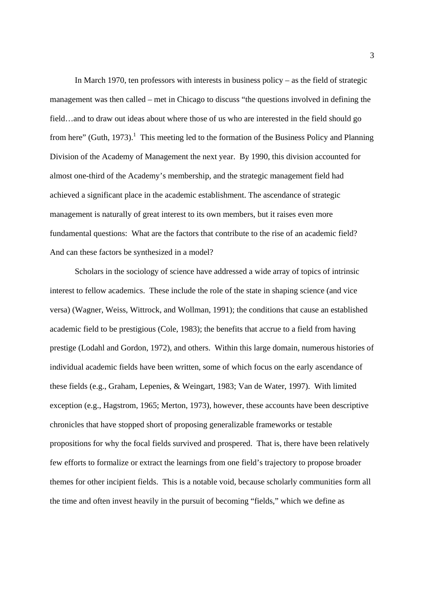In March 1970, ten professors with interests in business policy – as the field of strategic management was then called – met in Chicago to discuss "the questions involved in defining the field…and to draw out ideas about where those of us who are interested in the field should go from here" (Guth, 1973).<sup>1</sup> This meeting led to the formation of the Business Policy and Planning Division of the Academy of Management the next year. By 1990, this division accounted for almost one-third of the Academy's membership, and the strategic management field had achieved a significant place in the academic establishment. The ascendance of strategic management is naturally of great interest to its own members, but it raises even more fundamental questions: What are the factors that contribute to the rise of an academic field? And can these factors be synthesized in a model?

Scholars in the sociology of science have addressed a wide array of topics of intrinsic interest to fellow academics. These include the role of the state in shaping science (and vice versa) (Wagner, Weiss, Wittrock, and Wollman, 1991); the conditions that cause an established academic field to be prestigious (Cole, 1983); the benefits that accrue to a field from having prestige (Lodahl and Gordon, 1972), and others. Within this large domain, numerous histories of individual academic fields have been written, some of which focus on the early ascendance of these fields (e.g., Graham, Lepenies, & Weingart, 1983; Van de Water, 1997). With limited exception (e.g., Hagstrom, 1965; Merton, 1973), however, these accounts have been descriptive chronicles that have stopped short of proposing generalizable frameworks or testable propositions for why the focal fields survived and prospered. That is, there have been relatively few efforts to formalize or extract the learnings from one field's trajectory to propose broader themes for other incipient fields. This is a notable void, because scholarly communities form all the time and often invest heavily in the pursuit of becoming "fields," which we define as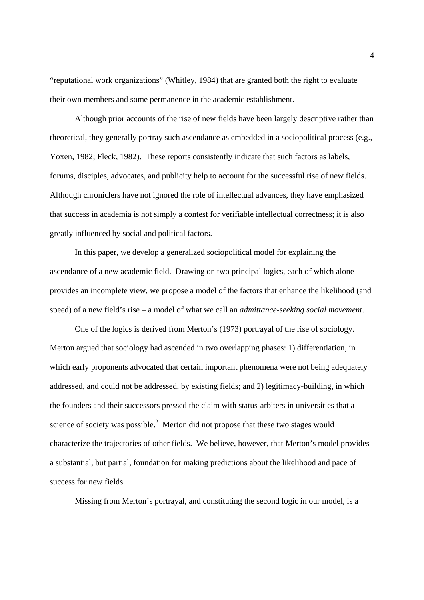"reputational work organizations" (Whitley, 1984) that are granted both the right to evaluate their own members and some permanence in the academic establishment.

 Although prior accounts of the rise of new fields have been largely descriptive rather than theoretical, they generally portray such ascendance as embedded in a sociopolitical process (e.g., Yoxen, 1982; Fleck, 1982). These reports consistently indicate that such factors as labels, forums, disciples, advocates, and publicity help to account for the successful rise of new fields. Although chroniclers have not ignored the role of intellectual advances, they have emphasized that success in academia is not simply a contest for verifiable intellectual correctness; it is also greatly influenced by social and political factors.

In this paper, we develop a generalized sociopolitical model for explaining the ascendance of a new academic field. Drawing on two principal logics, each of which alone provides an incomplete view, we propose a model of the factors that enhance the likelihood (and speed) of a new field's rise – a model of what we call an *admittance-seeking social movement*.

One of the logics is derived from Merton's (1973) portrayal of the rise of sociology. Merton argued that sociology had ascended in two overlapping phases: 1) differentiation, in which early proponents advocated that certain important phenomena were not being adequately addressed, and could not be addressed, by existing fields; and 2) legitimacy-building, in which the founders and their successors pressed the claim with status-arbiters in universities that a science of society was possible. $2$  Merton did not propose that these two stages would characterize the trajectories of other fields. We believe, however, that Merton's model provides a substantial, but partial, foundation for making predictions about the likelihood and pace of success for new fields.

Missing from Merton's portrayal, and constituting the second logic in our model, is a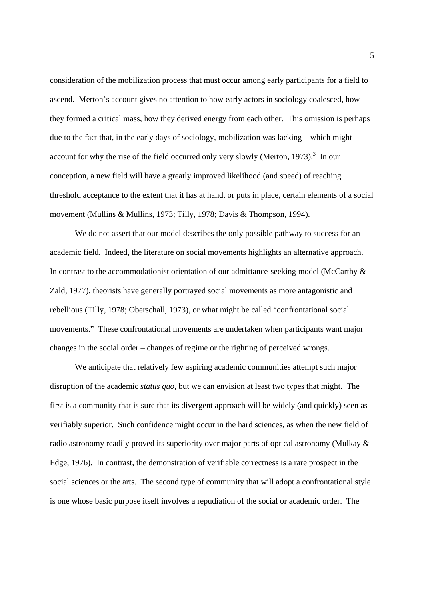consideration of the mobilization process that must occur among early participants for a field to ascend. Merton's account gives no attention to how early actors in sociology coalesced, how they formed a critical mass, how they derived energy from each other. This omission is perhaps due to the fact that, in the early days of sociology, mobilization was lacking – which might account for why the rise of the field occurred only very slowly (Merton, 1973).<sup>3</sup> In our conception, a new field will have a greatly improved likelihood (and speed) of reaching threshold acceptance to the extent that it has at hand, or puts in place, certain elements of a social movement (Mullins & Mullins, 1973; Tilly, 1978; Davis & Thompson, 1994).

We do not assert that our model describes the only possible pathway to success for an academic field. Indeed, the literature on social movements highlights an alternative approach. In contrast to the accommodationist orientation of our admittance-seeking model (McCarthy & Zald, 1977), theorists have generally portrayed social movements as more antagonistic and rebellious (Tilly, 1978; Oberschall, 1973), or what might be called "confrontational social movements." These confrontational movements are undertaken when participants want major changes in the social order – changes of regime or the righting of perceived wrongs.

We anticipate that relatively few aspiring academic communities attempt such major disruption of the academic *status quo*, but we can envision at least two types that might. The first is a community that is sure that its divergent approach will be widely (and quickly) seen as verifiably superior. Such confidence might occur in the hard sciences, as when the new field of radio astronomy readily proved its superiority over major parts of optical astronomy (Mulkay & Edge, 1976). In contrast, the demonstration of verifiable correctness is a rare prospect in the social sciences or the arts. The second type of community that will adopt a confrontational style is one whose basic purpose itself involves a repudiation of the social or academic order. The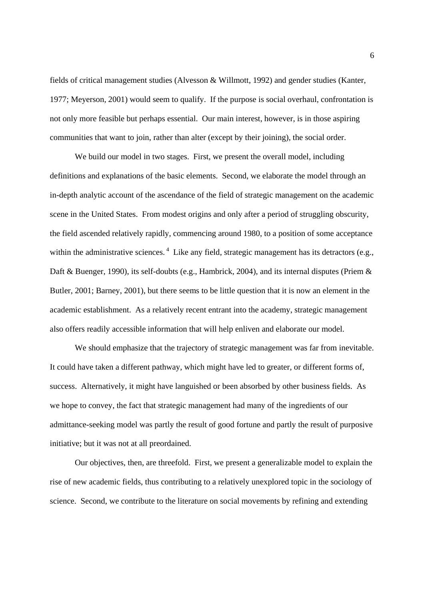fields of critical management studies (Alvesson & Willmott, 1992) and gender studies (Kanter, 1977; Meyerson, 2001) would seem to qualify. If the purpose is social overhaul, confrontation is not only more feasible but perhaps essential. Our main interest, however, is in those aspiring communities that want to join, rather than alter (except by their joining), the social order.

We build our model in two stages. First, we present the overall model, including definitions and explanations of the basic elements. Second, we elaborate the model through an in-depth analytic account of the ascendance of the field of strategic management on the academic scene in the United States. From modest origins and only after a period of struggling obscurity, the field ascended relatively rapidly, commencing around 1980, to a position of some acceptance within the administrative sciences.<sup>4</sup> Like any field, strategic management has its detractors (e.g., Daft & Buenger, 1990), its self-doubts (e.g., Hambrick, 2004), and its internal disputes (Priem & Butler, 2001; Barney, 2001), but there seems to be little question that it is now an element in the academic establishment. As a relatively recent entrant into the academy, strategic management also offers readily accessible information that will help enliven and elaborate our model.

 We should emphasize that the trajectory of strategic management was far from inevitable. It could have taken a different pathway, which might have led to greater, or different forms of, success. Alternatively, it might have languished or been absorbed by other business fields. As we hope to convey, the fact that strategic management had many of the ingredients of our admittance-seeking model was partly the result of good fortune and partly the result of purposive initiative; but it was not at all preordained.

Our objectives, then, are threefold. First, we present a generalizable model to explain the rise of new academic fields, thus contributing to a relatively unexplored topic in the sociology of science. Second, we contribute to the literature on social movements by refining and extending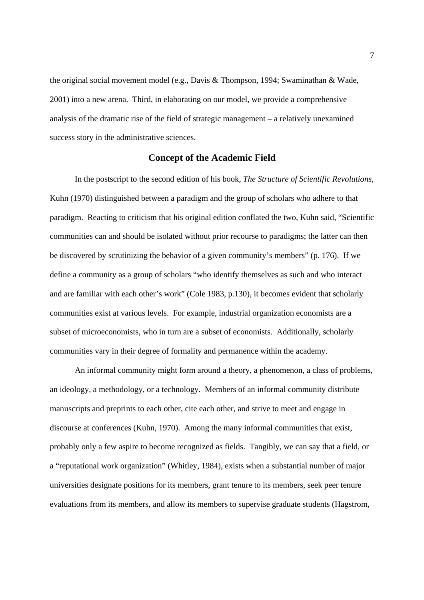the original social movement model (e.g., Davis & Thompson, 1994; Swaminathan & Wade, 2001) into a new arena. Third, in elaborating on our model, we provide a comprehensive analysis of the dramatic rise of the field of strategic management – a relatively unexamined success story in the administrative sciences.

#### **Concept of the Academic Field**

 In the postscript to the second edition of his book, *The Structure of Scientific Revolutions*, Kuhn (1970) distinguished between a paradigm and the group of scholars who adhere to that paradigm. Reacting to criticism that his original edition conflated the two, Kuhn said, "Scientific communities can and should be isolated without prior recourse to paradigms; the latter can then be discovered by scrutinizing the behavior of a given community's members" (p. 176). If we define a community as a group of scholars "who identify themselves as such and who interact and are familiar with each other's work" (Cole 1983, p.130), it becomes evident that scholarly communities exist at various levels. For example, industrial organization economists are a subset of microeconomists, who in turn are a subset of economists. Additionally, scholarly communities vary in their degree of formality and permanence within the academy.

An informal community might form around a theory, a phenomenon, a class of problems, an ideology, a methodology, or a technology. Members of an informal community distribute manuscripts and preprints to each other, cite each other, and strive to meet and engage in discourse at conferences (Kuhn, 1970). Among the many informal communities that exist, probably only a few aspire to become recognized as fields. Tangibly, we can say that a field, or a "reputational work organization" (Whitley, 1984), exists when a substantial number of major universities designate positions for its members, grant tenure to its members, seek peer tenure evaluations from its members, and allow its members to supervise graduate students (Hagstrom,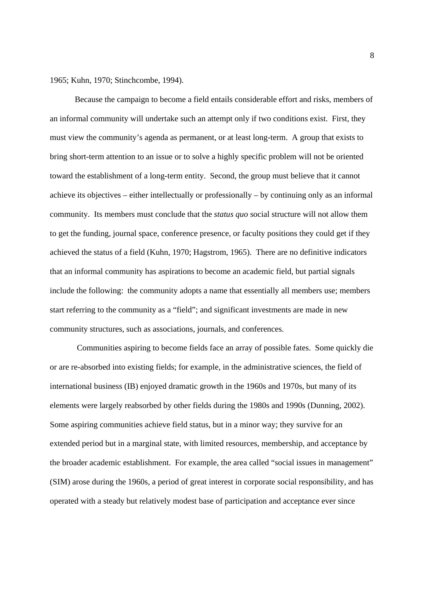1965; Kuhn, 1970; Stinchcombe, 1994).

 Because the campaign to become a field entails considerable effort and risks, members of an informal community will undertake such an attempt only if two conditions exist. First, they must view the community's agenda as permanent, or at least long-term. A group that exists to bring short-term attention to an issue or to solve a highly specific problem will not be oriented toward the establishment of a long-term entity. Second, the group must believe that it cannot achieve its objectives – either intellectually or professionally – by continuing only as an informal community. Its members must conclude that the *status quo* social structure will not allow them to get the funding, journal space, conference presence, or faculty positions they could get if they achieved the status of a field (Kuhn, 1970; Hagstrom, 1965). There are no definitive indicators that an informal community has aspirations to become an academic field, but partial signals include the following: the community adopts a name that essentially all members use; members start referring to the community as a "field"; and significant investments are made in new community structures, such as associations, journals, and conferences.

 Communities aspiring to become fields face an array of possible fates. Some quickly die or are re-absorbed into existing fields; for example, in the administrative sciences, the field of international business (IB) enjoyed dramatic growth in the 1960s and 1970s, but many of its elements were largely reabsorbed by other fields during the 1980s and 1990s (Dunning, 2002). Some aspiring communities achieve field status, but in a minor way; they survive for an extended period but in a marginal state, with limited resources, membership, and acceptance by the broader academic establishment. For example, the area called "social issues in management" (SIM) arose during the 1960s, a period of great interest in corporate social responsibility, and has operated with a steady but relatively modest base of participation and acceptance ever since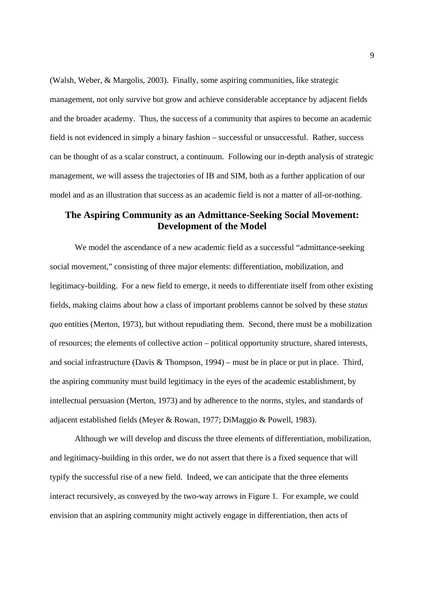(Walsh, Weber, & Margolis, 2003). Finally, some aspiring communities, like strategic management, not only survive but grow and achieve considerable acceptance by adjacent fields and the broader academy. Thus, the success of a community that aspires to become an academic field is not evidenced in simply a binary fashion – successful or unsuccessful. Rather, success can be thought of as a scalar construct, a continuum. Following our in-depth analysis of strategic management, we will assess the trajectories of IB and SIM, both as a further application of our model and as an illustration that success as an academic field is not a matter of all-or-nothing.

#### **The Aspiring Community as an Admittance-Seeking Social Movement: Development of the Model**

We model the ascendance of a new academic field as a successful "admittance-seeking social movement," consisting of three major elements: differentiation, mobilization, and legitimacy-building. For a new field to emerge, it needs to differentiate itself from other existing fields, making claims about how a class of important problems cannot be solved by these *status quo* entities (Merton, 1973), but without repudiating them. Second, there must be a mobilization of resources; the elements of collective action – political opportunity structure, shared interests, and social infrastructure (Davis & Thompson, 1994) – must be in place or put in place. Third, the aspiring community must build legitimacy in the eyes of the academic establishment, by intellectual persuasion (Merton, 1973) and by adherence to the norms, styles, and standards of adjacent established fields (Meyer & Rowan, 1977; DiMaggio & Powell, 1983).

Although we will develop and discuss the three elements of differentiation, mobilization, and legitimacy-building in this order, we do not assert that there is a fixed sequence that will typify the successful rise of a new field. Indeed, we can anticipate that the three elements interact recursively, as conveyed by the two-way arrows in Figure 1. For example, we could envision that an aspiring community might actively engage in differentiation, then acts of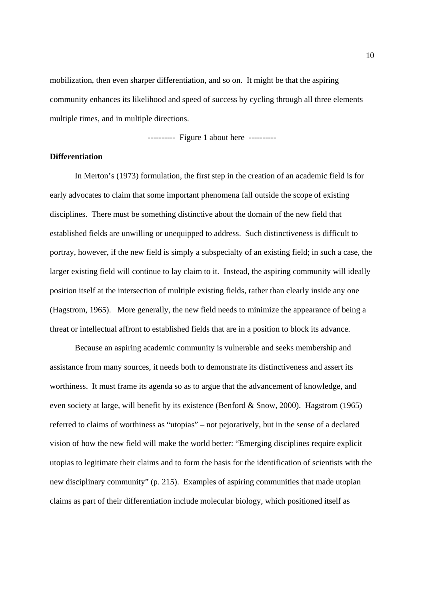mobilization, then even sharper differentiation, and so on. It might be that the aspiring community enhances its likelihood and speed of success by cycling through all three elements multiple times, and in multiple directions.

---------- Figure 1 about here ----------

#### **Differentiation**

In Merton's (1973) formulation, the first step in the creation of an academic field is for early advocates to claim that some important phenomena fall outside the scope of existing disciplines. There must be something distinctive about the domain of the new field that established fields are unwilling or unequipped to address. Such distinctiveness is difficult to portray, however, if the new field is simply a subspecialty of an existing field; in such a case, the larger existing field will continue to lay claim to it. Instead, the aspiring community will ideally position itself at the intersection of multiple existing fields, rather than clearly inside any one (Hagstrom, 1965). More generally, the new field needs to minimize the appearance of being a threat or intellectual affront to established fields that are in a position to block its advance.

Because an aspiring academic community is vulnerable and seeks membership and assistance from many sources, it needs both to demonstrate its distinctiveness and assert its worthiness. It must frame its agenda so as to argue that the advancement of knowledge, and even society at large, will benefit by its existence (Benford & Snow, 2000). Hagstrom (1965) referred to claims of worthiness as "utopias" – not pejoratively, but in the sense of a declared vision of how the new field will make the world better: "Emerging disciplines require explicit utopias to legitimate their claims and to form the basis for the identification of scientists with the new disciplinary community" (p. 215). Examples of aspiring communities that made utopian claims as part of their differentiation include molecular biology, which positioned itself as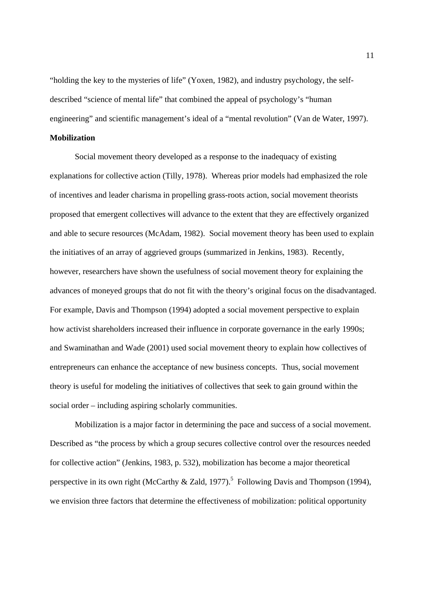"holding the key to the mysteries of life" (Yoxen, 1982), and industry psychology, the selfdescribed "science of mental life" that combined the appeal of psychology's "human engineering" and scientific management's ideal of a "mental revolution" (Van de Water, 1997).

#### **Mobilization**

Social movement theory developed as a response to the inadequacy of existing explanations for collective action (Tilly, 1978). Whereas prior models had emphasized the role of incentives and leader charisma in propelling grass-roots action, social movement theorists proposed that emergent collectives will advance to the extent that they are effectively organized and able to secure resources (McAdam, 1982). Social movement theory has been used to explain the initiatives of an array of aggrieved groups (summarized in Jenkins, 1983). Recently, however, researchers have shown the usefulness of social movement theory for explaining the advances of moneyed groups that do not fit with the theory's original focus on the disadvantaged. For example, Davis and Thompson (1994) adopted a social movement perspective to explain how activist shareholders increased their influence in corporate governance in the early 1990s; and Swaminathan and Wade (2001) used social movement theory to explain how collectives of entrepreneurs can enhance the acceptance of new business concepts. Thus, social movement theory is useful for modeling the initiatives of collectives that seek to gain ground within the social order – including aspiring scholarly communities.

Mobilization is a major factor in determining the pace and success of a social movement. Described as "the process by which a group secures collective control over the resources needed for collective action" (Jenkins, 1983, p. 532), mobilization has become a major theoretical perspective in its own right (McCarthy & Zald, 1977).<sup>5</sup> Following Davis and Thompson (1994), we envision three factors that determine the effectiveness of mobilization: political opportunity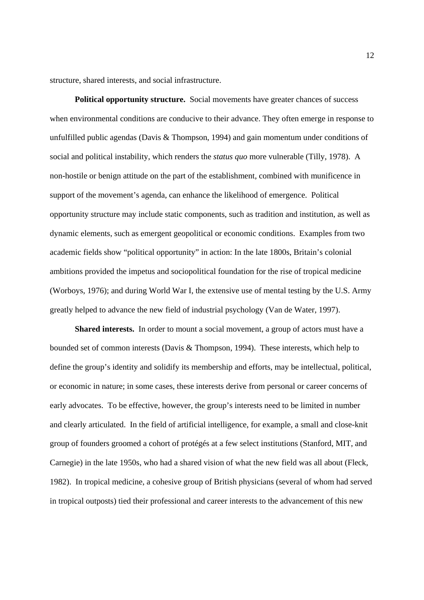structure, shared interests, and social infrastructure.

**Political opportunity structure.** Social movements have greater chances of success when environmental conditions are conducive to their advance. They often emerge in response to unfulfilled public agendas (Davis & Thompson, 1994) and gain momentum under conditions of social and political instability, which renders the *status quo* more vulnerable (Tilly, 1978). A non-hostile or benign attitude on the part of the establishment, combined with munificence in support of the movement's agenda, can enhance the likelihood of emergence. Political opportunity structure may include static components, such as tradition and institution, as well as dynamic elements, such as emergent geopolitical or economic conditions. Examples from two academic fields show "political opportunity" in action: In the late 1800s, Britain's colonial ambitions provided the impetus and sociopolitical foundation for the rise of tropical medicine (Worboys, 1976); and during World War I, the extensive use of mental testing by the U.S. Army greatly helped to advance the new field of industrial psychology (Van de Water, 1997).

**Shared interests.** In order to mount a social movement, a group of actors must have a bounded set of common interests (Davis & Thompson, 1994). These interests, which help to define the group's identity and solidify its membership and efforts, may be intellectual, political, or economic in nature; in some cases, these interests derive from personal or career concerns of early advocates. To be effective, however, the group's interests need to be limited in number and clearly articulated. In the field of artificial intelligence, for example, a small and close-knit group of founders groomed a cohort of protégés at a few select institutions (Stanford, MIT, and Carnegie) in the late 1950s, who had a shared vision of what the new field was all about (Fleck, 1982). In tropical medicine, a cohesive group of British physicians (several of whom had served in tropical outposts) tied their professional and career interests to the advancement of this new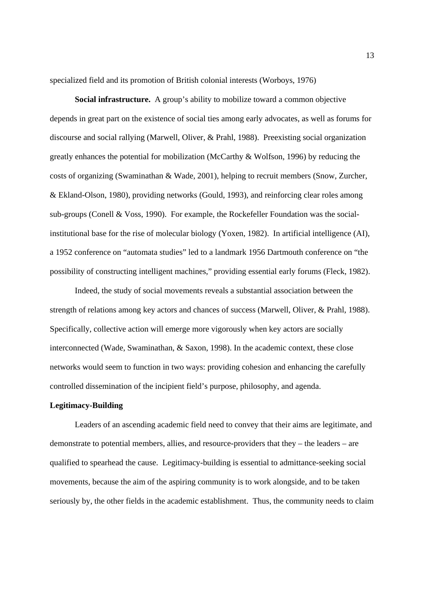specialized field and its promotion of British colonial interests (Worboys, 1976)

**Social infrastructure.** A group's ability to mobilize toward a common objective depends in great part on the existence of social ties among early advocates, as well as forums for discourse and social rallying (Marwell, Oliver, & Prahl, 1988). Preexisting social organization greatly enhances the potential for mobilization (McCarthy & Wolfson, 1996) by reducing the costs of organizing (Swaminathan & Wade, 2001), helping to recruit members (Snow, Zurcher, & Ekland-Olson, 1980), providing networks (Gould, 1993), and reinforcing clear roles among sub-groups (Conell & Voss, 1990). For example, the Rockefeller Foundation was the socialinstitutional base for the rise of molecular biology (Yoxen, 1982). In artificial intelligence (AI), a 1952 conference on "automata studies" led to a landmark 1956 Dartmouth conference on "the possibility of constructing intelligent machines," providing essential early forums (Fleck, 1982).

Indeed, the study of social movements reveals a substantial association between the strength of relations among key actors and chances of success (Marwell, Oliver, & Prahl, 1988). Specifically, collective action will emerge more vigorously when key actors are socially interconnected (Wade, Swaminathan, & Saxon, 1998). In the academic context, these close networks would seem to function in two ways: providing cohesion and enhancing the carefully controlled dissemination of the incipient field's purpose, philosophy, and agenda.

#### **Legitimacy-Building**

Leaders of an ascending academic field need to convey that their aims are legitimate, and demonstrate to potential members, allies, and resource-providers that they – the leaders – are qualified to spearhead the cause. Legitimacy-building is essential to admittance-seeking social movements, because the aim of the aspiring community is to work alongside, and to be taken seriously by, the other fields in the academic establishment. Thus, the community needs to claim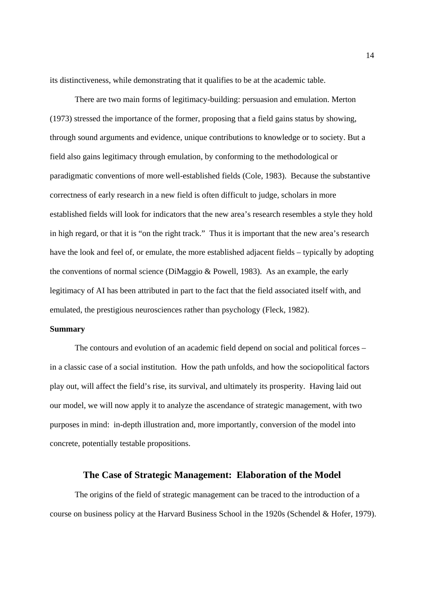its distinctiveness, while demonstrating that it qualifies to be at the academic table.

There are two main forms of legitimacy-building: persuasion and emulation. Merton (1973) stressed the importance of the former, proposing that a field gains status by showing, through sound arguments and evidence, unique contributions to knowledge or to society. But a field also gains legitimacy through emulation, by conforming to the methodological or paradigmatic conventions of more well-established fields (Cole, 1983). Because the substantive correctness of early research in a new field is often difficult to judge, scholars in more established fields will look for indicators that the new area's research resembles a style they hold in high regard, or that it is "on the right track." Thus it is important that the new area's research have the look and feel of, or emulate, the more established adjacent fields – typically by adopting the conventions of normal science (DiMaggio & Powell, 1983). As an example, the early legitimacy of AI has been attributed in part to the fact that the field associated itself with, and emulated, the prestigious neurosciences rather than psychology (Fleck, 1982).

#### **Summary**

The contours and evolution of an academic field depend on social and political forces – in a classic case of a social institution. How the path unfolds, and how the sociopolitical factors play out, will affect the field's rise, its survival, and ultimately its prosperity. Having laid out our model, we will now apply it to analyze the ascendance of strategic management, with two purposes in mind: in-depth illustration and, more importantly, conversion of the model into concrete, potentially testable propositions.

#### **The Case of Strategic Management: Elaboration of the Model**

The origins of the field of strategic management can be traced to the introduction of a course on business policy at the Harvard Business School in the 1920s (Schendel & Hofer, 1979).

14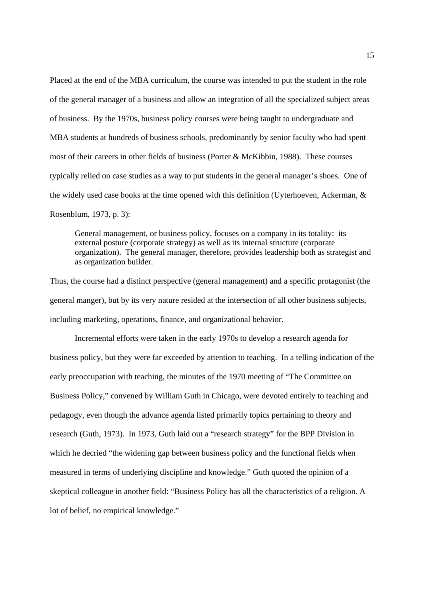Placed at the end of the MBA curriculum, the course was intended to put the student in the role of the general manager of a business and allow an integration of all the specialized subject areas of business. By the 1970s, business policy courses were being taught to undergraduate and MBA students at hundreds of business schools, predominantly by senior faculty who had spent most of their careers in other fields of business (Porter & McKibbin, 1988). These courses typically relied on case studies as a way to put students in the general manager's shoes. One of the widely used case books at the time opened with this definition (Uyterhoeven, Ackerman, & Rosenblum, 1973, p. 3):

General management, or business policy, focuses on a company in its totality: its external posture (corporate strategy) as well as its internal structure (corporate organization). The general manager, therefore, provides leadership both as strategist and as organization builder.

Thus, the course had a distinct perspective (general management) and a specific protagonist (the general manger), but by its very nature resided at the intersection of all other business subjects, including marketing, operations, finance, and organizational behavior.

 Incremental efforts were taken in the early 1970s to develop a research agenda for business policy, but they were far exceeded by attention to teaching. In a telling indication of the early preoccupation with teaching, the minutes of the 1970 meeting of "The Committee on Business Policy," convened by William Guth in Chicago, were devoted entirely to teaching and pedagogy, even though the advance agenda listed primarily topics pertaining to theory and research (Guth, 1973). In 1973, Guth laid out a "research strategy" for the BPP Division in which he decried "the widening gap between business policy and the functional fields when measured in terms of underlying discipline and knowledge." Guth quoted the opinion of a skeptical colleague in another field: "Business Policy has all the characteristics of a religion. A lot of belief, no empirical knowledge."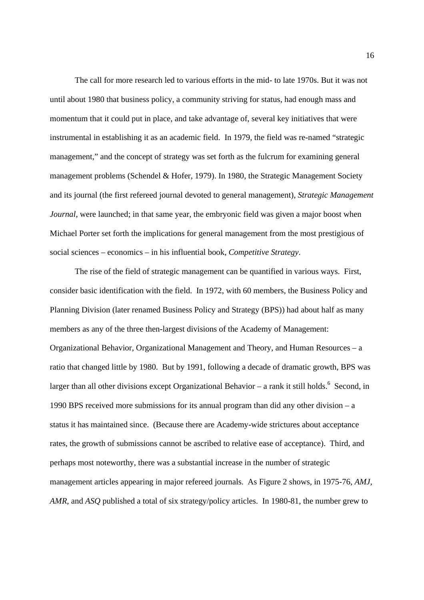The call for more research led to various efforts in the mid- to late 1970s. But it was not until about 1980 that business policy, a community striving for status, had enough mass and momentum that it could put in place, and take advantage of, several key initiatives that were instrumental in establishing it as an academic field. In 1979, the field was re-named "strategic management," and the concept of strategy was set forth as the fulcrum for examining general management problems (Schendel & Hofer, 1979). In 1980, the Strategic Management Society and its journal (the first refereed journal devoted to general management), *Strategic Management Journal*, were launched; in that same year, the embryonic field was given a major boost when Michael Porter set forth the implications for general management from the most prestigious of social sciences – economics – in his influential book, *Competitive Strategy*.

 The rise of the field of strategic management can be quantified in various ways. First, consider basic identification with the field. In 1972, with 60 members, the Business Policy and Planning Division (later renamed Business Policy and Strategy (BPS)) had about half as many members as any of the three then-largest divisions of the Academy of Management: Organizational Behavior, Organizational Management and Theory, and Human Resources – a ratio that changed little by 1980. But by 1991, following a decade of dramatic growth, BPS was larger than all other divisions except Organizational Behavior – a rank it still holds.<sup>6</sup> Second, in 1990 BPS received more submissions for its annual program than did any other division  $-a$ status it has maintained since. (Because there are Academy-wide strictures about acceptance rates, the growth of submissions cannot be ascribed to relative ease of acceptance). Third, and perhaps most noteworthy, there was a substantial increase in the number of strategic management articles appearing in major refereed journals. As Figure 2 shows, in 1975-76, *AMJ*, *AMR*, and *ASQ* published a total of six strategy/policy articles. In 1980-81, the number grew to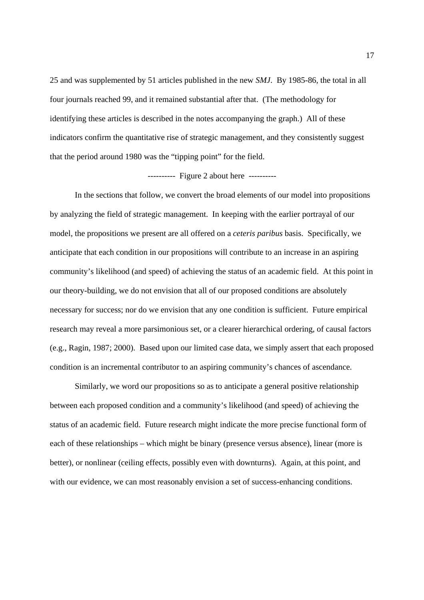25 and was supplemented by 51 articles published in the new *SMJ*. By 1985-86, the total in all four journals reached 99, and it remained substantial after that. (The methodology for identifying these articles is described in the notes accompanying the graph.) All of these indicators confirm the quantitative rise of strategic management, and they consistently suggest that the period around 1980 was the "tipping point" for the field.

#### ---------- Figure 2 about here ----------

In the sections that follow, we convert the broad elements of our model into propositions by analyzing the field of strategic management. In keeping with the earlier portrayal of our model, the propositions we present are all offered on a *ceteris paribus* basis. Specifically, we anticipate that each condition in our propositions will contribute to an increase in an aspiring community's likelihood (and speed) of achieving the status of an academic field. At this point in our theory-building, we do not envision that all of our proposed conditions are absolutely necessary for success; nor do we envision that any one condition is sufficient. Future empirical research may reveal a more parsimonious set, or a clearer hierarchical ordering, of causal factors (e.g., Ragin, 1987; 2000). Based upon our limited case data, we simply assert that each proposed condition is an incremental contributor to an aspiring community's chances of ascendance.

Similarly, we word our propositions so as to anticipate a general positive relationship between each proposed condition and a community's likelihood (and speed) of achieving the status of an academic field. Future research might indicate the more precise functional form of each of these relationships – which might be binary (presence versus absence), linear (more is better), or nonlinear (ceiling effects, possibly even with downturns). Again, at this point, and with our evidence, we can most reasonably envision a set of success-enhancing conditions.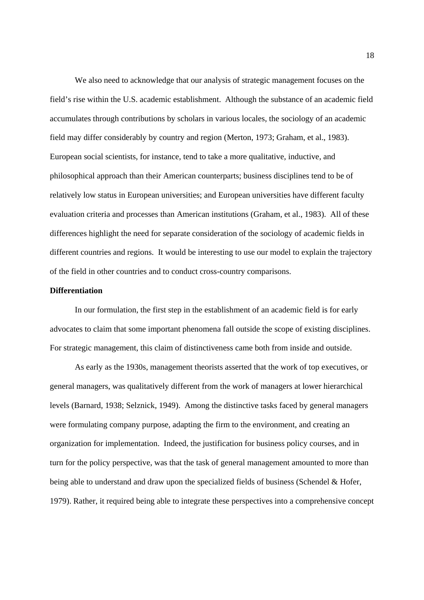We also need to acknowledge that our analysis of strategic management focuses on the field's rise within the U.S. academic establishment. Although the substance of an academic field accumulates through contributions by scholars in various locales, the sociology of an academic field may differ considerably by country and region (Merton, 1973; Graham, et al., 1983). European social scientists, for instance, tend to take a more qualitative, inductive, and philosophical approach than their American counterparts; business disciplines tend to be of relatively low status in European universities; and European universities have different faculty evaluation criteria and processes than American institutions (Graham, et al., 1983). All of these differences highlight the need for separate consideration of the sociology of academic fields in different countries and regions. It would be interesting to use our model to explain the trajectory of the field in other countries and to conduct cross-country comparisons.

#### **Differentiation**

 In our formulation, the first step in the establishment of an academic field is for early advocates to claim that some important phenomena fall outside the scope of existing disciplines. For strategic management, this claim of distinctiveness came both from inside and outside.

 As early as the 1930s, management theorists asserted that the work of top executives, or general managers, was qualitatively different from the work of managers at lower hierarchical levels (Barnard, 1938; Selznick, 1949). Among the distinctive tasks faced by general managers were formulating company purpose, adapting the firm to the environment, and creating an organization for implementation. Indeed, the justification for business policy courses, and in turn for the policy perspective, was that the task of general management amounted to more than being able to understand and draw upon the specialized fields of business (Schendel & Hofer, 1979). Rather, it required being able to integrate these perspectives into a comprehensive concept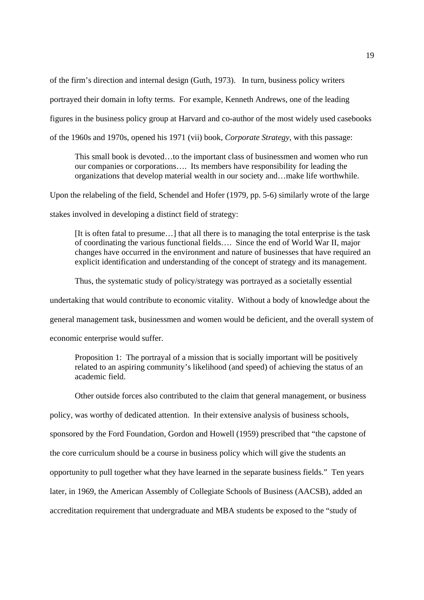of the firm's direction and internal design (Guth, 1973). In turn, business policy writers

portrayed their domain in lofty terms. For example, Kenneth Andrews, one of the leading

figures in the business policy group at Harvard and co-author of the most widely used casebooks

of the 1960s and 1970s, opened his 1971 (vii) book, *Corporate Strategy*, with this passage:

This small book is devoted…to the important class of businessmen and women who run our companies or corporations…. Its members have responsibility for leading the organizations that develop material wealth in our society and…make life worthwhile.

Upon the relabeling of the field, Schendel and Hofer (1979, pp. 5-6) similarly wrote of the large

stakes involved in developing a distinct field of strategy:

[It is often fatal to presume…] that all there is to managing the total enterprise is the task of coordinating the various functional fields…. Since the end of World War II, major changes have occurred in the environment and nature of businesses that have required an explicit identification and understanding of the concept of strategy and its management.

Thus, the systematic study of policy/strategy was portrayed as a societally essential

undertaking that would contribute to economic vitality. Without a body of knowledge about the

general management task, businessmen and women would be deficient, and the overall system of

economic enterprise would suffer.

Proposition 1: The portrayal of a mission that is socially important will be positively related to an aspiring community's likelihood (and speed) of achieving the status of an academic field.

Other outside forces also contributed to the claim that general management, or business

policy, was worthy of dedicated attention. In their extensive analysis of business schools,

sponsored by the Ford Foundation, Gordon and Howell (1959) prescribed that "the capstone of

the core curriculum should be a course in business policy which will give the students an

opportunity to pull together what they have learned in the separate business fields." Ten years

later, in 1969, the American Assembly of Collegiate Schools of Business (AACSB), added an

accreditation requirement that undergraduate and MBA students be exposed to the "study of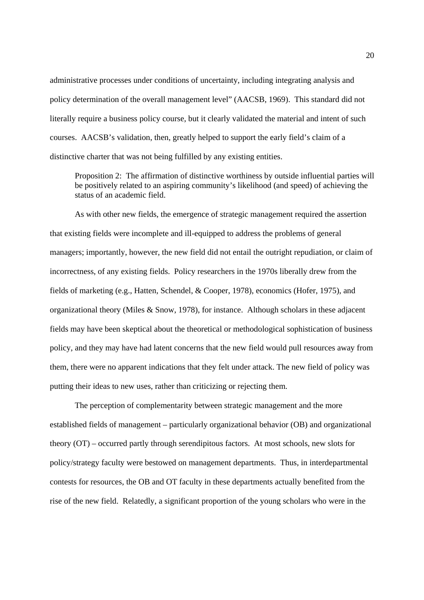administrative processes under conditions of uncertainty, including integrating analysis and policy determination of the overall management level" (AACSB, 1969). This standard did not literally require a business policy course, but it clearly validated the material and intent of such courses. AACSB's validation, then, greatly helped to support the early field's claim of a distinctive charter that was not being fulfilled by any existing entities.

Proposition 2: The affirmation of distinctive worthiness by outside influential parties will be positively related to an aspiring community's likelihood (and speed) of achieving the status of an academic field.

 As with other new fields, the emergence of strategic management required the assertion that existing fields were incomplete and ill-equipped to address the problems of general managers; importantly, however, the new field did not entail the outright repudiation, or claim of incorrectness, of any existing fields. Policy researchers in the 1970s liberally drew from the fields of marketing (e.g., Hatten, Schendel, & Cooper, 1978), economics (Hofer, 1975), and organizational theory (Miles  $&$  Snow, 1978), for instance. Although scholars in these adjacent fields may have been skeptical about the theoretical or methodological sophistication of business policy, and they may have had latent concerns that the new field would pull resources away from them, there were no apparent indications that they felt under attack. The new field of policy was putting their ideas to new uses, rather than criticizing or rejecting them.

 The perception of complementarity between strategic management and the more established fields of management – particularly organizational behavior (OB) and organizational theory (OT) – occurred partly through serendipitous factors. At most schools, new slots for policy/strategy faculty were bestowed on management departments. Thus, in interdepartmental contests for resources, the OB and OT faculty in these departments actually benefited from the rise of the new field. Relatedly, a significant proportion of the young scholars who were in the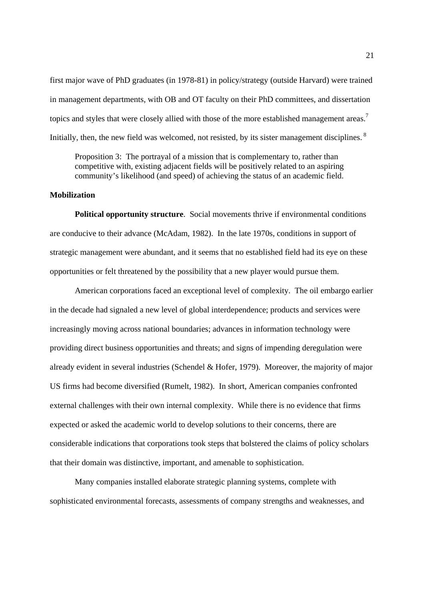first major wave of PhD graduates (in 1978-81) in policy/strategy (outside Harvard) were trained in management departments, with OB and OT faculty on their PhD committees, and dissertation topics and styles that were closely allied with those of the more established management areas.<sup>7</sup> Initially, then, the new field was welcomed, not resisted, by its sister management disciplines. <sup>8</sup>

Proposition 3: The portrayal of a mission that is complementary to, rather than competitive with, existing adjacent fields will be positively related to an aspiring community's likelihood (and speed) of achieving the status of an academic field.

#### **Mobilization**

**Political opportunity structure**.Social movements thrive if environmental conditions are conducive to their advance (McAdam, 1982). In the late 1970s, conditions in support of strategic management were abundant, and it seems that no established field had its eye on these opportunities or felt threatened by the possibility that a new player would pursue them.

American corporations faced an exceptional level of complexity. The oil embargo earlier in the decade had signaled a new level of global interdependence; products and services were increasingly moving across national boundaries; advances in information technology were providing direct business opportunities and threats; and signs of impending deregulation were already evident in several industries (Schendel & Hofer, 1979). Moreover, the majority of major US firms had become diversified (Rumelt, 1982). In short, American companies confronted external challenges with their own internal complexity. While there is no evidence that firms expected or asked the academic world to develop solutions to their concerns, there are considerable indications that corporations took steps that bolstered the claims of policy scholars that their domain was distinctive, important, and amenable to sophistication.

 Many companies installed elaborate strategic planning systems, complete with sophisticated environmental forecasts, assessments of company strengths and weaknesses, and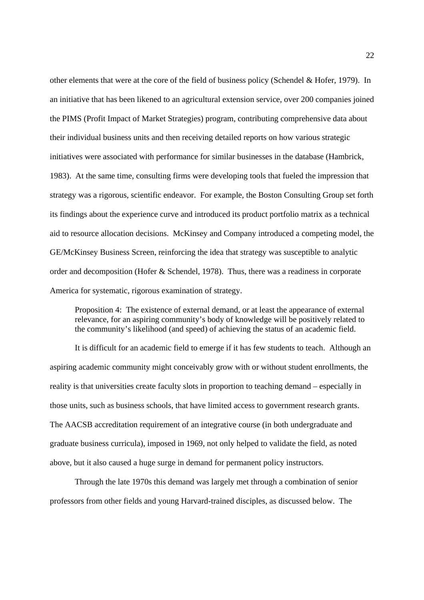other elements that were at the core of the field of business policy (Schendel & Hofer, 1979). In an initiative that has been likened to an agricultural extension service, over 200 companies joined the PIMS (Profit Impact of Market Strategies) program, contributing comprehensive data about their individual business units and then receiving detailed reports on how various strategic initiatives were associated with performance for similar businesses in the database (Hambrick, 1983). At the same time, consulting firms were developing tools that fueled the impression that strategy was a rigorous, scientific endeavor. For example, the Boston Consulting Group set forth its findings about the experience curve and introduced its product portfolio matrix as a technical aid to resource allocation decisions. McKinsey and Company introduced a competing model, the GE/McKinsey Business Screen, reinforcing the idea that strategy was susceptible to analytic order and decomposition (Hofer & Schendel, 1978). Thus, there was a readiness in corporate America for systematic, rigorous examination of strategy.

Proposition 4: The existence of external demand, or at least the appearance of external relevance, for an aspiring community's body of knowledge will be positively related to the community's likelihood (and speed) of achieving the status of an academic field.

It is difficult for an academic field to emerge if it has few students to teach. Although an aspiring academic community might conceivably grow with or without student enrollments, the reality is that universities create faculty slots in proportion to teaching demand – especially in those units, such as business schools, that have limited access to government research grants. The AACSB accreditation requirement of an integrative course (in both undergraduate and graduate business curricula), imposed in 1969, not only helped to validate the field, as noted above, but it also caused a huge surge in demand for permanent policy instructors.

Through the late 1970s this demand was largely met through a combination of senior professors from other fields and young Harvard-trained disciples, as discussed below. The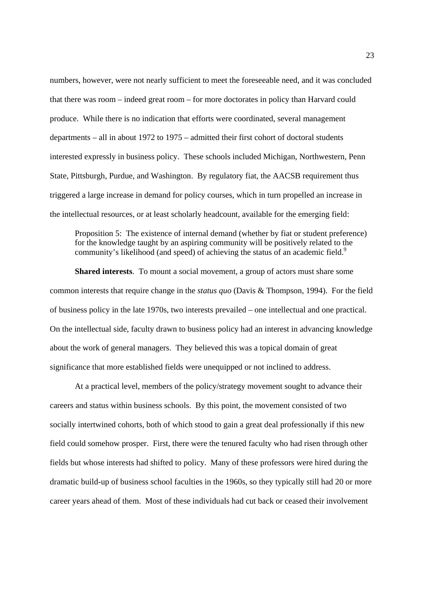numbers, however, were not nearly sufficient to meet the foreseeable need, and it was concluded that there was room – indeed great room – for more doctorates in policy than Harvard could produce. While there is no indication that efforts were coordinated, several management departments – all in about 1972 to 1975 – admitted their first cohort of doctoral students interested expressly in business policy. These schools included Michigan, Northwestern, Penn State, Pittsburgh, Purdue, and Washington. By regulatory fiat, the AACSB requirement thus triggered a large increase in demand for policy courses, which in turn propelled an increase in the intellectual resources, or at least scholarly headcount, available for the emerging field:

Proposition 5: The existence of internal demand (whether by fiat or student preference) for the knowledge taught by an aspiring community will be positively related to the community's likelihood (and speed) of achieving the status of an academic field.<sup>9</sup>

**Shared interests**. To mount a social movement, a group of actors must share some common interests that require change in the *status quo* (Davis & Thompson, 1994). For the field of business policy in the late 1970s, two interests prevailed – one intellectual and one practical. On the intellectual side, faculty drawn to business policy had an interest in advancing knowledge about the work of general managers. They believed this was a topical domain of great significance that more established fields were unequipped or not inclined to address.

 At a practical level, members of the policy/strategy movement sought to advance their careers and status within business schools. By this point, the movement consisted of two socially intertwined cohorts, both of which stood to gain a great deal professionally if this new field could somehow prosper. First, there were the tenured faculty who had risen through other fields but whose interests had shifted to policy. Many of these professors were hired during the dramatic build-up of business school faculties in the 1960s, so they typically still had 20 or more career years ahead of them. Most of these individuals had cut back or ceased their involvement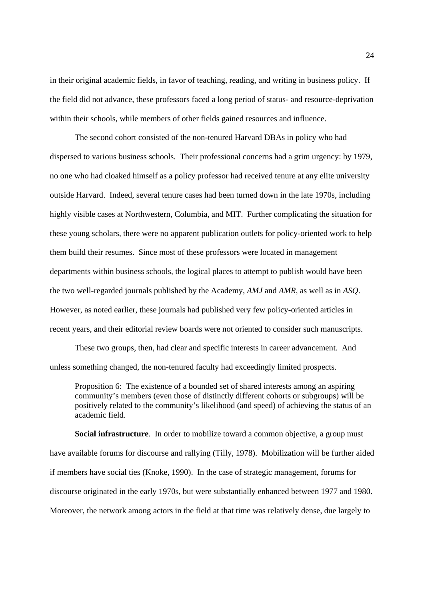in their original academic fields, in favor of teaching, reading, and writing in business policy. If the field did not advance, these professors faced a long period of status- and resource-deprivation within their schools, while members of other fields gained resources and influence.

The second cohort consisted of the non-tenured Harvard DBAs in policy who had dispersed to various business schools. Their professional concerns had a grim urgency: by 1979, no one who had cloaked himself as a policy professor had received tenure at any elite university outside Harvard. Indeed, several tenure cases had been turned down in the late 1970s, including highly visible cases at Northwestern, Columbia, and MIT. Further complicating the situation for these young scholars, there were no apparent publication outlets for policy-oriented work to help them build their resumes. Since most of these professors were located in management departments within business schools, the logical places to attempt to publish would have been the two well-regarded journals published by the Academy, *AMJ* and *AMR*, as well as in *ASQ*. However, as noted earlier, these journals had published very few policy-oriented articles in recent years, and their editorial review boards were not oriented to consider such manuscripts.

These two groups, then, had clear and specific interests in career advancement. And unless something changed, the non-tenured faculty had exceedingly limited prospects.

Proposition 6: The existence of a bounded set of shared interests among an aspiring community's members (even those of distinctly different cohorts or subgroups) will be positively related to the community's likelihood (and speed) of achieving the status of an academic field.

**Social infrastructure**. In order to mobilize toward a common objective, a group must have available forums for discourse and rallying (Tilly, 1978). Mobilization will be further aided if members have social ties (Knoke, 1990). In the case of strategic management, forums for discourse originated in the early 1970s, but were substantially enhanced between 1977 and 1980. Moreover, the network among actors in the field at that time was relatively dense, due largely to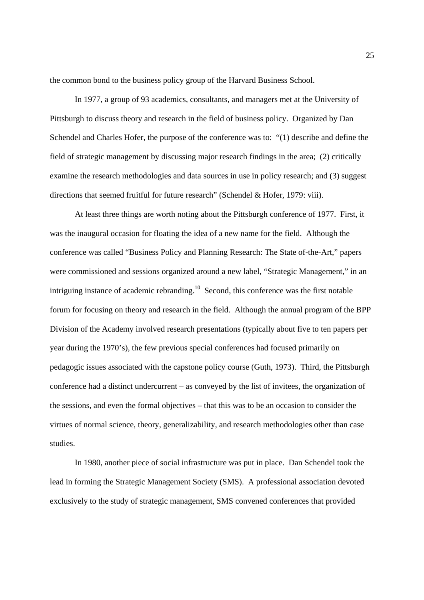the common bond to the business policy group of the Harvard Business School.

In 1977, a group of 93 academics, consultants, and managers met at the University of Pittsburgh to discuss theory and research in the field of business policy. Organized by Dan Schendel and Charles Hofer, the purpose of the conference was to: "(1) describe and define the field of strategic management by discussing major research findings in the area; (2) critically examine the research methodologies and data sources in use in policy research; and (3) suggest directions that seemed fruitful for future research" (Schendel & Hofer, 1979: viii).

At least three things are worth noting about the Pittsburgh conference of 1977. First, it was the inaugural occasion for floating the idea of a new name for the field. Although the conference was called "Business Policy and Planning Research: The State of-the-Art," papers were commissioned and sessions organized around a new label, "Strategic Management," in an intriguing instance of academic rebranding.<sup>10</sup> Second, this conference was the first notable forum for focusing on theory and research in the field. Although the annual program of the BPP Division of the Academy involved research presentations (typically about five to ten papers per year during the 1970's), the few previous special conferences had focused primarily on pedagogic issues associated with the capstone policy course (Guth, 1973). Third, the Pittsburgh conference had a distinct undercurrent – as conveyed by the list of invitees, the organization of the sessions, and even the formal objectives – that this was to be an occasion to consider the virtues of normal science, theory, generalizability, and research methodologies other than case studies.

In 1980, another piece of social infrastructure was put in place. Dan Schendel took the lead in forming the Strategic Management Society (SMS). A professional association devoted exclusively to the study of strategic management, SMS convened conferences that provided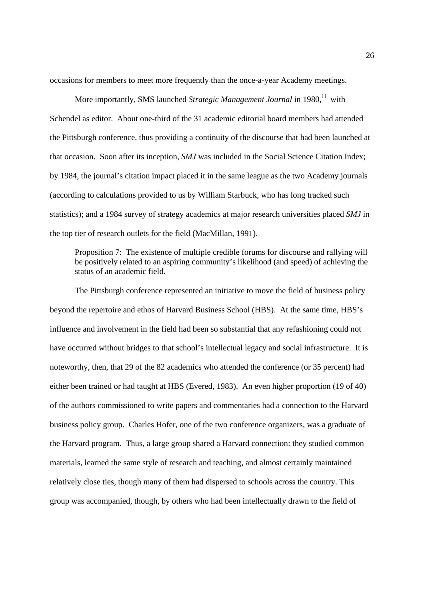occasions for members to meet more frequently than the once-a-year Academy meetings.

More importantly, SMS launched *Strategic Management Journal* in 1980,<sup>11</sup> with Schendel as editor. About one-third of the 31 academic editorial board members had attended the Pittsburgh conference, thus providing a continuity of the discourse that had been launched at that occasion. Soon after its inception, *SMJ* was included in the Social Science Citation Index; by 1984, the journal's citation impact placed it in the same league as the two Academy journals (according to calculations provided to us by William Starbuck, who has long tracked such statistics); and a 1984 survey of strategy academics at major research universities placed *SMJ* in the top tier of research outlets for the field (MacMillan, 1991).

Proposition 7: The existence of multiple credible forums for discourse and rallying will be positively related to an aspiring community's likelihood (and speed) of achieving the status of an academic field.

The Pittsburgh conference represented an initiative to move the field of business policy beyond the repertoire and ethos of Harvard Business School (HBS). At the same time, HBS's influence and involvement in the field had been so substantial that any refashioning could not have occurred without bridges to that school's intellectual legacy and social infrastructure. It is noteworthy, then, that 29 of the 82 academics who attended the conference (or 35 percent) had either been trained or had taught at HBS (Evered, 1983). An even higher proportion (19 of 40) of the authors commissioned to write papers and commentaries had a connection to the Harvard business policy group. Charles Hofer, one of the two conference organizers, was a graduate of the Harvard program. Thus, a large group shared a Harvard connection: they studied common materials, learned the same style of research and teaching, and almost certainly maintained relatively close ties, though many of them had dispersed to schools across the country. This group was accompanied, though, by others who had been intellectually drawn to the field of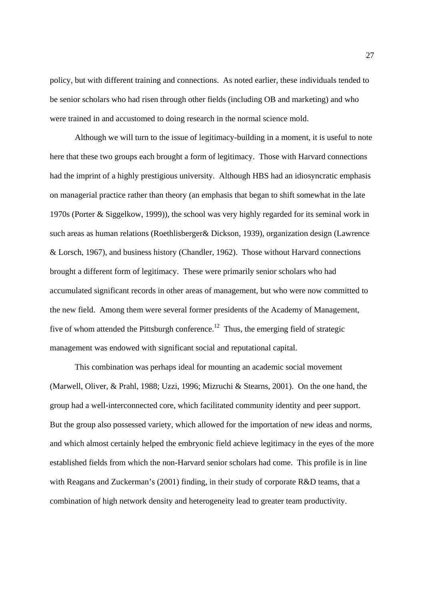policy, but with different training and connections. As noted earlier, these individuals tended to be senior scholars who had risen through other fields (including OB and marketing) and who were trained in and accustomed to doing research in the normal science mold.

Although we will turn to the issue of legitimacy-building in a moment, it is useful to note here that these two groups each brought a form of legitimacy. Those with Harvard connections had the imprint of a highly prestigious university. Although HBS had an idiosyncratic emphasis on managerial practice rather than theory (an emphasis that began to shift somewhat in the late 1970s (Porter & Siggelkow, 1999)), the school was very highly regarded for its seminal work in such areas as human relations (Roethlisberger& Dickson, 1939), organization design (Lawrence & Lorsch, 1967), and business history (Chandler, 1962). Those without Harvard connections brought a different form of legitimacy. These were primarily senior scholars who had accumulated significant records in other areas of management, but who were now committed to the new field. Among them were several former presidents of the Academy of Management, five of whom attended the Pittsburgh conference.<sup>12</sup> Thus, the emerging field of strategic management was endowed with significant social and reputational capital.

This combination was perhaps ideal for mounting an academic social movement (Marwell, Oliver, & Prahl, 1988; Uzzi, 1996; Mizruchi & Stearns, 2001). On the one hand, the group had a well-interconnected core, which facilitated community identity and peer support. But the group also possessed variety, which allowed for the importation of new ideas and norms, and which almost certainly helped the embryonic field achieve legitimacy in the eyes of the more established fields from which the non-Harvard senior scholars had come. This profile is in line with Reagans and Zuckerman's (2001) finding, in their study of corporate R&D teams, that a combination of high network density and heterogeneity lead to greater team productivity.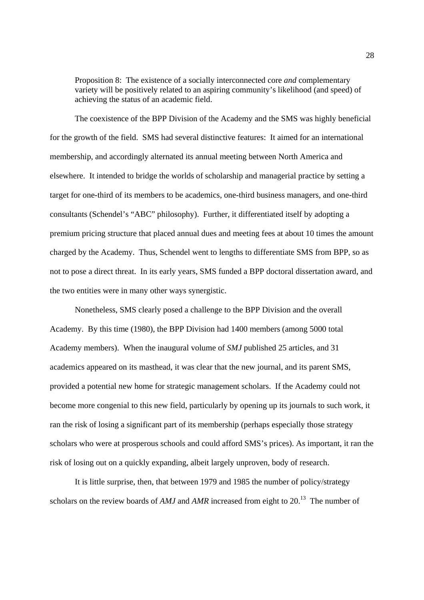Proposition 8: The existence of a socially interconnected core *and* complementary variety will be positively related to an aspiring community's likelihood (and speed) of achieving the status of an academic field.

The coexistence of the BPP Division of the Academy and the SMS was highly beneficial for the growth of the field. SMS had several distinctive features: It aimed for an international membership, and accordingly alternated its annual meeting between North America and elsewhere. It intended to bridge the worlds of scholarship and managerial practice by setting a target for one-third of its members to be academics, one-third business managers, and one-third consultants (Schendel's "ABC" philosophy). Further, it differentiated itself by adopting a premium pricing structure that placed annual dues and meeting fees at about 10 times the amount charged by the Academy. Thus, Schendel went to lengths to differentiate SMS from BPP, so as not to pose a direct threat. In its early years, SMS funded a BPP doctoral dissertation award, and the two entities were in many other ways synergistic.

Nonetheless, SMS clearly posed a challenge to the BPP Division and the overall Academy. By this time (1980), the BPP Division had 1400 members (among 5000 total Academy members). When the inaugural volume of *SMJ* published 25 articles, and 31 academics appeared on its masthead, it was clear that the new journal, and its parent SMS, provided a potential new home for strategic management scholars. If the Academy could not become more congenial to this new field, particularly by opening up its journals to such work, it ran the risk of losing a significant part of its membership (perhaps especially those strategy scholars who were at prosperous schools and could afford SMS's prices). As important, it ran the risk of losing out on a quickly expanding, albeit largely unproven, body of research.

It is little surprise, then, that between 1979 and 1985 the number of policy/strategy scholars on the review boards of *AMJ* and *AMR* increased from eight to 20.<sup>13</sup> The number of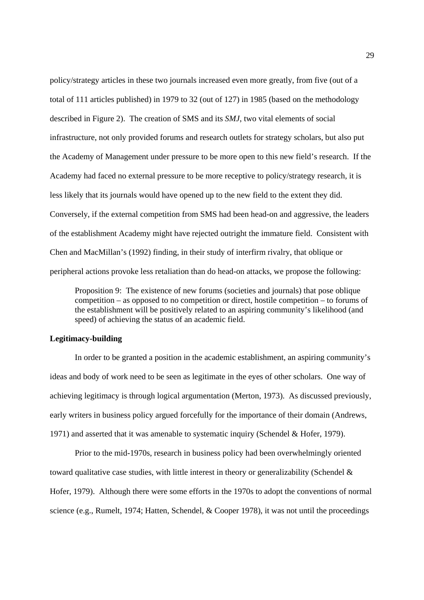policy/strategy articles in these two journals increased even more greatly, from five (out of a total of 111 articles published) in 1979 to 32 (out of 127) in 1985 (based on the methodology described in Figure 2). The creation of SMS and its *SMJ*, two vital elements of social infrastructure, not only provided forums and research outlets for strategy scholars, but also put the Academy of Management under pressure to be more open to this new field's research. If the Academy had faced no external pressure to be more receptive to policy/strategy research, it is less likely that its journals would have opened up to the new field to the extent they did. Conversely, if the external competition from SMS had been head-on and aggressive, the leaders of the establishment Academy might have rejected outright the immature field. Consistent with Chen and MacMillan's (1992) finding, in their study of interfirm rivalry, that oblique or peripheral actions provoke less retaliation than do head-on attacks, we propose the following:

Proposition 9: The existence of new forums (societies and journals) that pose oblique competition – as opposed to no competition or direct, hostile competition – to forums of the establishment will be positively related to an aspiring community's likelihood (and speed) of achieving the status of an academic field.

#### **Legitimacy-building**

 In order to be granted a position in the academic establishment, an aspiring community's ideas and body of work need to be seen as legitimate in the eyes of other scholars. One way of achieving legitimacy is through logical argumentation (Merton, 1973). As discussed previously, early writers in business policy argued forcefully for the importance of their domain (Andrews, 1971) and asserted that it was amenable to systematic inquiry (Schendel & Hofer, 1979).

Prior to the mid-1970s, research in business policy had been overwhelmingly oriented toward qualitative case studies, with little interest in theory or generalizability (Schendel & Hofer, 1979). Although there were some efforts in the 1970s to adopt the conventions of normal science (e.g., Rumelt, 1974; Hatten, Schendel, & Cooper 1978), it was not until the proceedings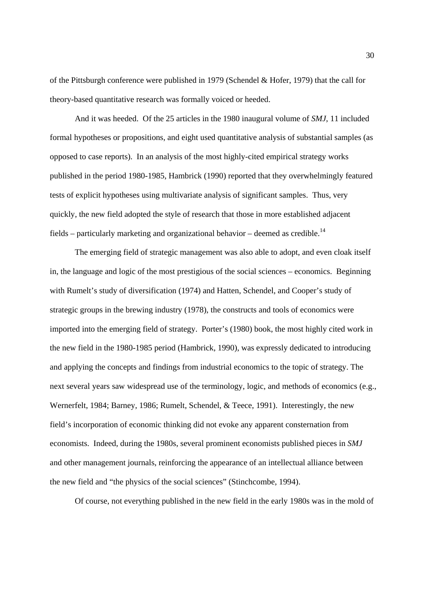of the Pittsburgh conference were published in 1979 (Schendel & Hofer, 1979) that the call for theory-based quantitative research was formally voiced or heeded.

And it was heeded. Of the 25 articles in the 1980 inaugural volume of *SMJ*, 11 included formal hypotheses or propositions, and eight used quantitative analysis of substantial samples (as opposed to case reports). In an analysis of the most highly-cited empirical strategy works published in the period 1980-1985, Hambrick (1990) reported that they overwhelmingly featured tests of explicit hypotheses using multivariate analysis of significant samples. Thus, very quickly, the new field adopted the style of research that those in more established adjacent fields – particularly marketing and organizational behavior – deemed as credible.<sup>14</sup>

The emerging field of strategic management was also able to adopt, and even cloak itself in, the language and logic of the most prestigious of the social sciences – economics. Beginning with Rumelt's study of diversification (1974) and Hatten, Schendel, and Cooper's study of strategic groups in the brewing industry (1978), the constructs and tools of economics were imported into the emerging field of strategy. Porter's (1980) book, the most highly cited work in the new field in the 1980-1985 period (Hambrick, 1990), was expressly dedicated to introducing and applying the concepts and findings from industrial economics to the topic of strategy. The next several years saw widespread use of the terminology, logic, and methods of economics (e.g., Wernerfelt, 1984; Barney, 1986; Rumelt, Schendel, & Teece, 1991). Interestingly, the new field's incorporation of economic thinking did not evoke any apparent consternation from economists. Indeed, during the 1980s, several prominent economists published pieces in *SMJ* and other management journals, reinforcing the appearance of an intellectual alliance between the new field and "the physics of the social sciences" (Stinchcombe, 1994).

Of course, not everything published in the new field in the early 1980s was in the mold of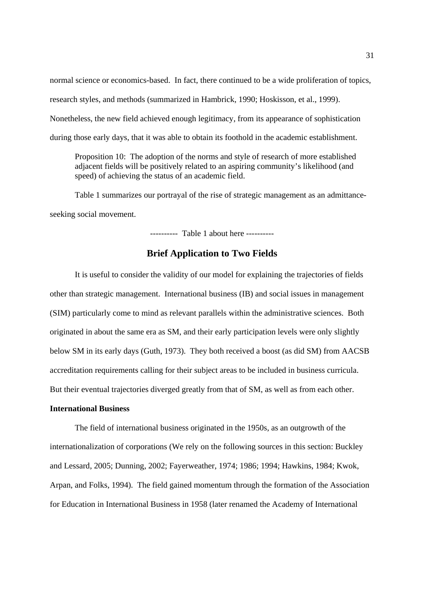normal science or economics-based. In fact, there continued to be a wide proliferation of topics, research styles, and methods (summarized in Hambrick, 1990; Hoskisson, et al., 1999). Nonetheless, the new field achieved enough legitimacy, from its appearance of sophistication during those early days, that it was able to obtain its foothold in the academic establishment.

Proposition 10: The adoption of the norms and style of research of more established adjacent fields will be positively related to an aspiring community's likelihood (and speed) of achieving the status of an academic field.

 Table 1 summarizes our portrayal of the rise of strategic management as an admittanceseeking social movement.

---------- Table 1 about here ----------

#### **Brief Application to Two Fields**

It is useful to consider the validity of our model for explaining the trajectories of fields other than strategic management. International business (IB) and social issues in management (SIM) particularly come to mind as relevant parallels within the administrative sciences. Both originated in about the same era as SM, and their early participation levels were only slightly below SM in its early days (Guth, 1973). They both received a boost (as did SM) from AACSB accreditation requirements calling for their subject areas to be included in business curricula. But their eventual trajectories diverged greatly from that of SM, as well as from each other.

#### **International Business**

The field of international business originated in the 1950s, as an outgrowth of the internationalization of corporations (We rely on the following sources in this section: Buckley and Lessard, 2005; Dunning, 2002; Fayerweather, 1974; 1986; 1994; Hawkins, 1984; Kwok, Arpan, and Folks, 1994). The field gained momentum through the formation of the Association for Education in International Business in 1958 (later renamed the Academy of International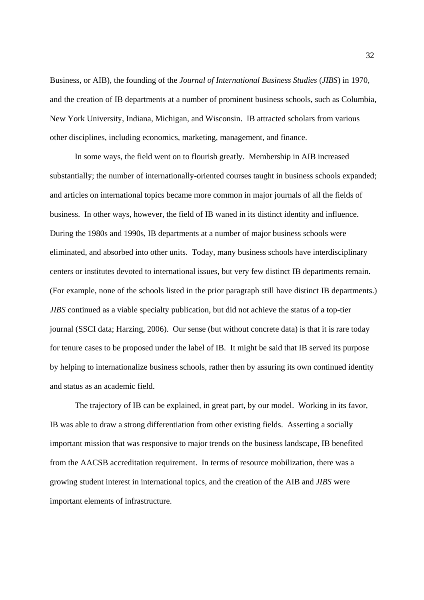Business, or AIB), the founding of the *Journal of International Business Studies* (*JIBS*) in 1970, and the creation of IB departments at a number of prominent business schools, such as Columbia, New York University, Indiana, Michigan, and Wisconsin. IB attracted scholars from various other disciplines, including economics, marketing, management, and finance.

 In some ways, the field went on to flourish greatly. Membership in AIB increased substantially; the number of internationally-oriented courses taught in business schools expanded; and articles on international topics became more common in major journals of all the fields of business. In other ways, however, the field of IB waned in its distinct identity and influence. During the 1980s and 1990s, IB departments at a number of major business schools were eliminated, and absorbed into other units. Today, many business schools have interdisciplinary centers or institutes devoted to international issues, but very few distinct IB departments remain. (For example, none of the schools listed in the prior paragraph still have distinct IB departments.) *JIBS* continued as a viable specialty publication, but did not achieve the status of a top-tier journal (SSCI data; Harzing, 2006). Our sense (but without concrete data) is that it is rare today for tenure cases to be proposed under the label of IB. It might be said that IB served its purpose by helping to internationalize business schools, rather then by assuring its own continued identity and status as an academic field.

 The trajectory of IB can be explained, in great part, by our model. Working in its favor, IB was able to draw a strong differentiation from other existing fields. Asserting a socially important mission that was responsive to major trends on the business landscape, IB benefited from the AACSB accreditation requirement. In terms of resource mobilization, there was a growing student interest in international topics, and the creation of the AIB and *JIBS* were important elements of infrastructure.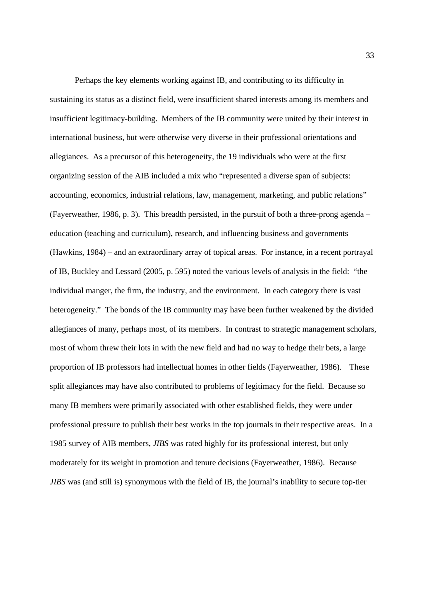Perhaps the key elements working against IB, and contributing to its difficulty in sustaining its status as a distinct field, were insufficient shared interests among its members and insufficient legitimacy-building. Members of the IB community were united by their interest in international business, but were otherwise very diverse in their professional orientations and allegiances. As a precursor of this heterogeneity, the 19 individuals who were at the first organizing session of the AIB included a mix who "represented a diverse span of subjects: accounting, economics, industrial relations, law, management, marketing, and public relations" (Fayerweather, 1986, p. 3). This breadth persisted, in the pursuit of both a three-prong agenda – education (teaching and curriculum), research, and influencing business and governments (Hawkins, 1984) – and an extraordinary array of topical areas. For instance, in a recent portrayal of IB, Buckley and Lessard (2005, p. 595) noted the various levels of analysis in the field: "the individual manger, the firm, the industry, and the environment. In each category there is vast heterogeneity." The bonds of the IB community may have been further weakened by the divided allegiances of many, perhaps most, of its members. In contrast to strategic management scholars, most of whom threw their lots in with the new field and had no way to hedge their bets, a large proportion of IB professors had intellectual homes in other fields (Fayerweather, 1986). These split allegiances may have also contributed to problems of legitimacy for the field. Because so many IB members were primarily associated with other established fields, they were under professional pressure to publish their best works in the top journals in their respective areas. In a 1985 survey of AIB members, *JIBS* was rated highly for its professional interest, but only moderately for its weight in promotion and tenure decisions (Fayerweather, 1986). Because *JIBS* was (and still is) synonymous with the field of IB, the journal's inability to secure top-tier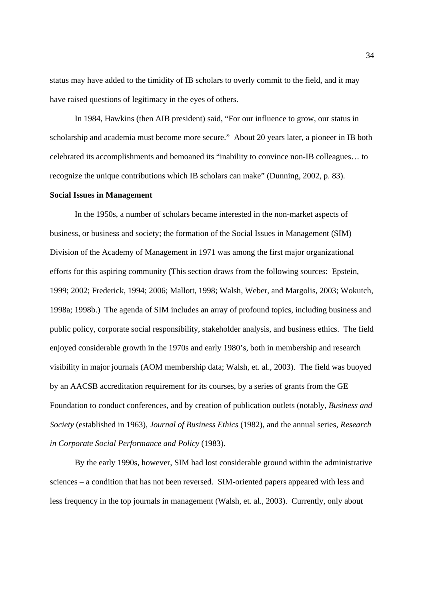status may have added to the timidity of IB scholars to overly commit to the field, and it may have raised questions of legitimacy in the eyes of others.

 In 1984, Hawkins (then AIB president) said, "For our influence to grow, our status in scholarship and academia must become more secure." About 20 years later, a pioneer in IB both celebrated its accomplishments and bemoaned its "inability to convince non-IB colleagues… to recognize the unique contributions which IB scholars can make" (Dunning, 2002, p. 83).

#### **Social Issues in Management**

In the 1950s, a number of scholars became interested in the non-market aspects of business, or business and society; the formation of the Social Issues in Management (SIM) Division of the Academy of Management in 1971 was among the first major organizational efforts for this aspiring community (This section draws from the following sources: Epstein, 1999; 2002; Frederick, 1994; 2006; Mallott, 1998; Walsh, Weber, and Margolis, 2003; Wokutch, 1998a; 1998b.) The agenda of SIM includes an array of profound topics, including business and public policy, corporate social responsibility, stakeholder analysis, and business ethics. The field enjoyed considerable growth in the 1970s and early 1980's, both in membership and research visibility in major journals (AOM membership data; Walsh, et. al., 2003). The field was buoyed by an AACSB accreditation requirement for its courses, by a series of grants from the GE Foundation to conduct conferences, and by creation of publication outlets (notably, *Business and Society* (established in 1963), *Journal of Business Ethics* (1982), and the annual series, *Research in Corporate Social Performance and Policy* (1983).

 By the early 1990s, however, SIM had lost considerable ground within the administrative sciences – a condition that has not been reversed. SIM-oriented papers appeared with less and less frequency in the top journals in management (Walsh, et. al., 2003). Currently, only about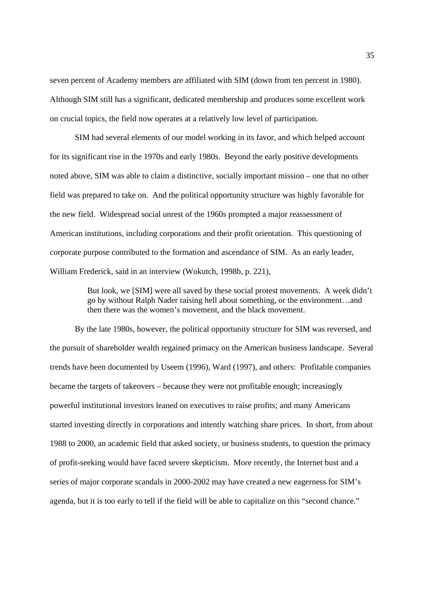seven percent of Academy members are affiliated with SIM (down from ten percent in 1980). Although SIM still has a significant, dedicated membership and produces some excellent work on crucial topics, the field now operates at a relatively low level of participation.

 SIM had several elements of our model working in its favor, and which helped account for its significant rise in the 1970s and early 1980s. Beyond the early positive developments noted above, SIM was able to claim a distinctive, socially important mission – one that no other field was prepared to take on. And the political opportunity structure was highly favorable for the new field. Widespread social unrest of the 1960s prompted a major reassessment of American institutions, including corporations and their profit orientation. This questioning of corporate purpose contributed to the formation and ascendance of SIM. As an early leader, William Frederick, said in an interview (Wokutch, 1998b, p. 221),

> But look, we [SIM] were all saved by these social protest movements. A week didn't go by without Ralph Nader raising hell about something, or the environment…and then there was the women's movement, and the black movement.

 By the late 1980s, however, the political opportunity structure for SIM was reversed, and the pursuit of shareholder wealth regained primacy on the American business landscape. Several trends have been documented by Useem (1996), Ward (1997), and others: Profitable companies became the targets of takeovers – because they were not profitable enough; increasingly powerful institutional investors leaned on executives to raise profits; and many Americans started investing directly in corporations and intently watching share prices. In short, from about 1988 to 2000, an academic field that asked society, or business students, to question the primacy of profit-seeking would have faced severe skepticism. More recently, the Internet bust and a series of major corporate scandals in 2000-2002 may have created a new eagerness for SIM's agenda, but it is too early to tell if the field will be able to capitalize on this "second chance."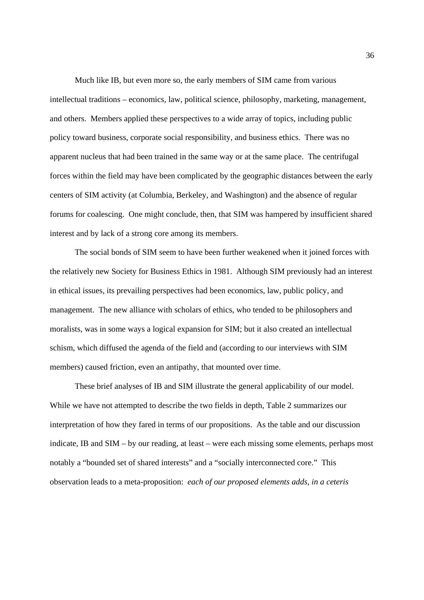Much like IB, but even more so, the early members of SIM came from various intellectual traditions – economics, law, political science, philosophy, marketing, management, and others. Members applied these perspectives to a wide array of topics, including public policy toward business, corporate social responsibility, and business ethics. There was no apparent nucleus that had been trained in the same way or at the same place. The centrifugal forces within the field may have been complicated by the geographic distances between the early centers of SIM activity (at Columbia, Berkeley, and Washington) and the absence of regular forums for coalescing. One might conclude, then, that SIM was hampered by insufficient shared interest and by lack of a strong core among its members.

 The social bonds of SIM seem to have been further weakened when it joined forces with the relatively new Society for Business Ethics in 1981. Although SIM previously had an interest in ethical issues, its prevailing perspectives had been economics, law, public policy, and management. The new alliance with scholars of ethics, who tended to be philosophers and moralists, was in some ways a logical expansion for SIM; but it also created an intellectual schism, which diffused the agenda of the field and (according to our interviews with SIM members) caused friction, even an antipathy, that mounted over time.

These brief analyses of IB and SIM illustrate the general applicability of our model. While we have not attempted to describe the two fields in depth, Table 2 summarizes our interpretation of how they fared in terms of our propositions. As the table and our discussion indicate, IB and SIM – by our reading, at least – were each missing some elements, perhaps most notably a "bounded set of shared interests" and a "socially interconnected core." This observation leads to a meta-proposition: *each of our proposed elements adds, in a ceteris*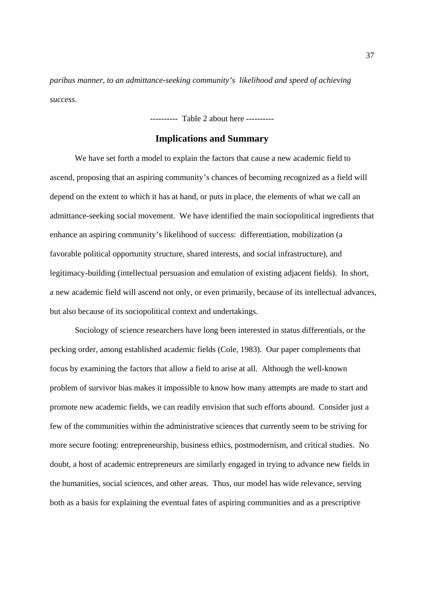*paribus manner, to an admittance-seeking community's likelihood and speed of achieving success*.

---------- Table 2 about here ----------

#### **Implications and Summary**

 We have set forth a model to explain the factors that cause a new academic field to ascend, proposing that an aspiring community's chances of becoming recognized as a field will depend on the extent to which it has at hand, or puts in place, the elements of what we call an admittance-seeking social movement. We have identified the main sociopolitical ingredients that enhance an aspiring community's likelihood of success: differentiation, mobilization (a favorable political opportunity structure, shared interests, and social infrastructure), and legitimacy-building (intellectual persuasion and emulation of existing adjacent fields). In short, a new academic field will ascend not only, or even primarily, because of its intellectual advances, but also because of its sociopolitical context and undertakings.

 Sociology of science researchers have long been interested in status differentials, or the pecking order, among established academic fields (Cole, 1983). Our paper complements that focus by examining the factors that allow a field to arise at all. Although the well-known problem of survivor bias makes it impossible to know how many attempts are made to start and promote new academic fields, we can readily envision that such efforts abound. Consider just a few of the communities within the administrative sciences that currently seem to be striving for more secure footing: entrepreneurship, business ethics, postmodernism, and critical studies. No doubt, a host of academic entrepreneurs are similarly engaged in trying to advance new fields in the humanities, social sciences, and other areas. Thus, our model has wide relevance, serving both as a basis for explaining the eventual fates of aspiring communities and as a prescriptive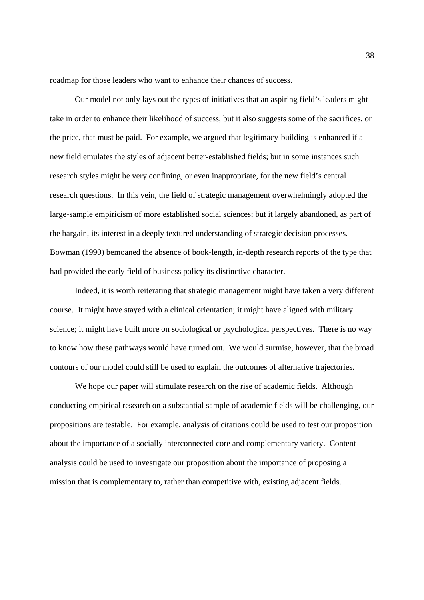roadmap for those leaders who want to enhance their chances of success.

 Our model not only lays out the types of initiatives that an aspiring field's leaders might take in order to enhance their likelihood of success, but it also suggests some of the sacrifices, or the price, that must be paid. For example, we argued that legitimacy-building is enhanced if a new field emulates the styles of adjacent better-established fields; but in some instances such research styles might be very confining, or even inappropriate, for the new field's central research questions. In this vein, the field of strategic management overwhelmingly adopted the large-sample empiricism of more established social sciences; but it largely abandoned, as part of the bargain, its interest in a deeply textured understanding of strategic decision processes. Bowman (1990) bemoaned the absence of book-length, in-depth research reports of the type that had provided the early field of business policy its distinctive character.

 Indeed, it is worth reiterating that strategic management might have taken a very different course. It might have stayed with a clinical orientation; it might have aligned with military science; it might have built more on sociological or psychological perspectives. There is no way to know how these pathways would have turned out. We would surmise, however, that the broad contours of our model could still be used to explain the outcomes of alternative trajectories.

We hope our paper will stimulate research on the rise of academic fields. Although conducting empirical research on a substantial sample of academic fields will be challenging, our propositions are testable. For example, analysis of citations could be used to test our proposition about the importance of a socially interconnected core and complementary variety. Content analysis could be used to investigate our proposition about the importance of proposing a mission that is complementary to, rather than competitive with, existing adjacent fields.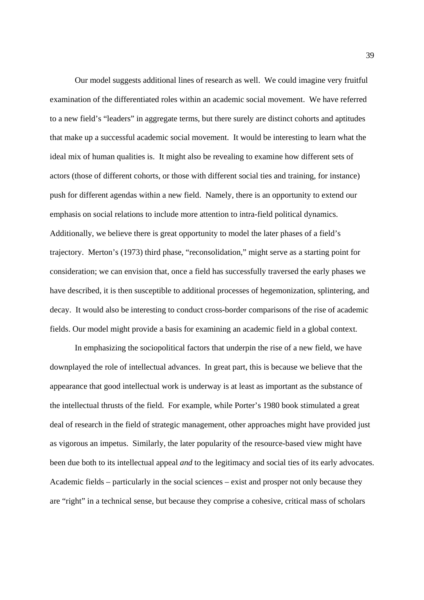Our model suggests additional lines of research as well. We could imagine very fruitful examination of the differentiated roles within an academic social movement. We have referred to a new field's "leaders" in aggregate terms, but there surely are distinct cohorts and aptitudes that make up a successful academic social movement. It would be interesting to learn what the ideal mix of human qualities is. It might also be revealing to examine how different sets of actors (those of different cohorts, or those with different social ties and training, for instance) push for different agendas within a new field. Namely, there is an opportunity to extend our emphasis on social relations to include more attention to intra-field political dynamics. Additionally, we believe there is great opportunity to model the later phases of a field's trajectory. Merton's (1973) third phase, "reconsolidation," might serve as a starting point for consideration; we can envision that, once a field has successfully traversed the early phases we have described, it is then susceptible to additional processes of hegemonization, splintering, and decay. It would also be interesting to conduct cross-border comparisons of the rise of academic fields. Our model might provide a basis for examining an academic field in a global context.

 In emphasizing the sociopolitical factors that underpin the rise of a new field, we have downplayed the role of intellectual advances. In great part, this is because we believe that the appearance that good intellectual work is underway is at least as important as the substance of the intellectual thrusts of the field. For example, while Porter's 1980 book stimulated a great deal of research in the field of strategic management, other approaches might have provided just as vigorous an impetus. Similarly, the later popularity of the resource-based view might have been due both to its intellectual appeal *and* to the legitimacy and social ties of its early advocates. Academic fields – particularly in the social sciences – exist and prosper not only because they are "right" in a technical sense, but because they comprise a cohesive, critical mass of scholars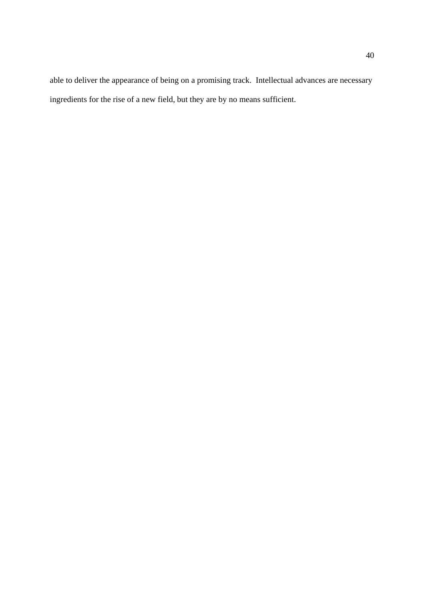able to deliver the appearance of being on a promising track. Intellectual advances are necessary ingredients for the rise of a new field, but they are by no means sufficient.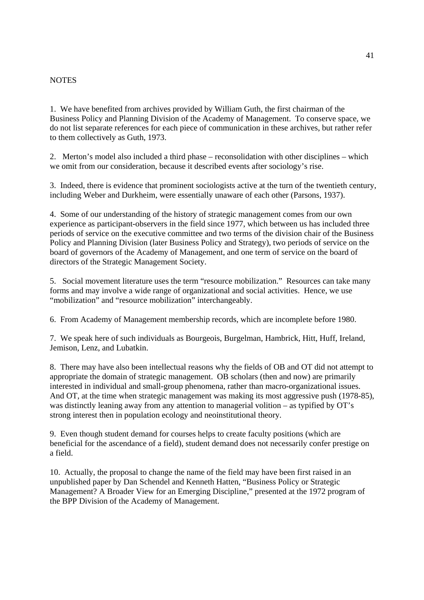#### **NOTES**

1. We have benefited from archives provided by William Guth, the first chairman of the Business Policy and Planning Division of the Academy of Management. To conserve space, we do not list separate references for each piece of communication in these archives, but rather refer to them collectively as Guth, 1973.

2. Merton's model also included a third phase – reconsolidation with other disciplines – which we omit from our consideration, because it described events after sociology's rise.

3. Indeed, there is evidence that prominent sociologists active at the turn of the twentieth century, including Weber and Durkheim, were essentially unaware of each other (Parsons, 1937).

4. Some of our understanding of the history of strategic management comes from our own experience as participant-observers in the field since 1977, which between us has included three periods of service on the executive committee and two terms of the division chair of the Business Policy and Planning Division (later Business Policy and Strategy), two periods of service on the board of governors of the Academy of Management, and one term of service on the board of directors of the Strategic Management Society.

5. Social movement literature uses the term "resource mobilization." Resources can take many forms and may involve a wide range of organizational and social activities. Hence, we use "mobilization" and "resource mobilization" interchangeably.

6. From Academy of Management membership records, which are incomplete before 1980.

7. We speak here of such individuals as Bourgeois, Burgelman, Hambrick, Hitt, Huff, Ireland, Jemison, Lenz, and Lubatkin.

8. There may have also been intellectual reasons why the fields of OB and OT did not attempt to appropriate the domain of strategic management. OB scholars (then and now) are primarily interested in individual and small-group phenomena, rather than macro-organizational issues. And OT, at the time when strategic management was making its most aggressive push (1978-85), was distinctly leaning away from any attention to managerial volition – as typified by OT's strong interest then in population ecology and neoinstitutional theory.

9. Even though student demand for courses helps to create faculty positions (which are beneficial for the ascendance of a field), student demand does not necessarily confer prestige on a field.

10. Actually, the proposal to change the name of the field may have been first raised in an unpublished paper by Dan Schendel and Kenneth Hatten, "Business Policy or Strategic Management? A Broader View for an Emerging Discipline," presented at the 1972 program of the BPP Division of the Academy of Management.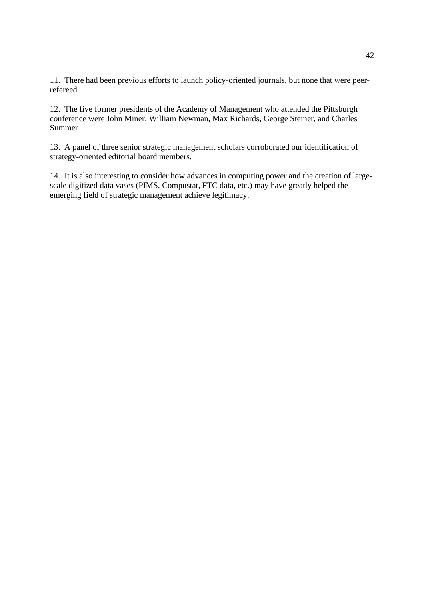11. There had been previous efforts to launch policy-oriented journals, but none that were peerrefereed.

12. The five former presidents of the Academy of Management who attended the Pittsburgh conference were John Miner, William Newman, Max Richards, George Steiner, and Charles Summer.

13. A panel of three senior strategic management scholars corroborated our identification of strategy-oriented editorial board members.

14. It is also interesting to consider how advances in computing power and the creation of largescale digitized data vases (PIMS, Compustat, FTC data, etc.) may have greatly helped the emerging field of strategic management achieve legitimacy.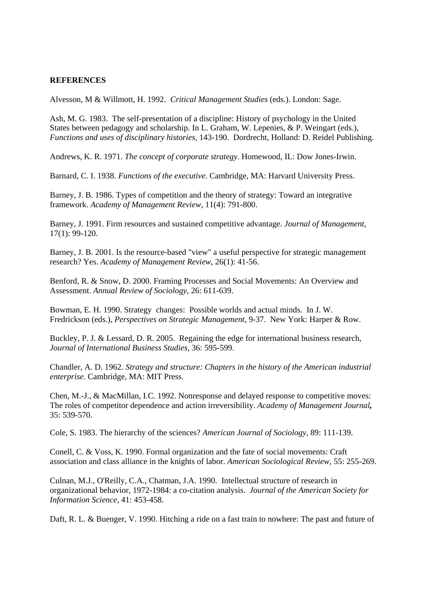#### **REFERENCES**

Alvesson, M & Willmott, H. 1992. *Critical Management Studies* (eds.). London: Sage.

Ash, M. G. 1983. The self-presentation of a discipline: History of psychology in the United States between pedagogy and scholarship. In L. Graham, W. Lepenies, & P. Weingart (eds.), *Functions and uses of disciplinary histories*, 143-190. Dordrecht, Holland: D. Reidel Publishing.

Andrews, K. R. 1971. *The concept of corporate strategy*. Homewood, IL: Dow Jones-Irwin.

Barnard, C. I. 1938. *Functions of the executive*. Cambridge, MA: Harvard University Press.

Barney, J. B. 1986. Types of competition and the theory of strategy: Toward an integrative framework. *Academy of Management Review,* 11(4): 791-800.

Barney, J. 1991. Firm resources and sustained competitive advantage. *Journal of Management,* 17(1): 99-120.

Barney, J. B. 2001. Is the resource-based "view" a useful perspective for strategic management research? Yes. *Academy of Management Review*, 26(1): 41-56.

Benford, R. & Snow, D. 2000. Framing Processes and Social Movements: An Overview and Assessment. *Annual Review of Sociology*, 26: 611-639.

Bowman, E. H. 1990. Strategy changes: Possible worlds and actual minds. In J. W. Fredrickson (eds.), *Perspectives on Strategic Management*, 9-37. New York: Harper & Row.

Buckley, P. J. & Lessard, D. R. 2005. Regaining the edge for international business research, *Journal of International Business Studies*, 36: 595-599.

Chandler, A. D. 1962. *Strategy and structure: Chapters in the history of the American industrial enterprise*. Cambridge, MA: MIT Press.

Chen, M.-J., & MacMillan, I.C. 1992. Nonresponse and delayed response to competitive moves: The roles of competitor dependence and action irreversibility. *Academy of Management Journal,*  35: 539-570.

Cole, S. 1983. The hierarchy of the sciences? *American Journal of Sociology*, 89: 111-139.

Conell, C. & Voss, K. 1990. Formal organization and the fate of social movements: Craft association and class alliance in the knights of labor. *American Sociological Review*, 55: 255-269.

Culnan, M.J., O'Reilly, C.A., Chatman, J.A. 1990. Intellectual structure of research in organizational behavior, 1972-1984: a co-citation analysis. *Journal of the American Society for Information Science*, 41: 453-458.

Daft, R. L. & Buenger, V. 1990. Hitching a ride on a fast train to nowhere: The past and future of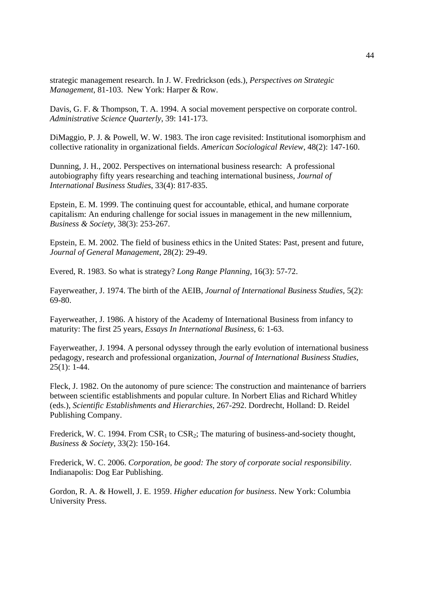strategic management research. In J. W. Fredrickson (eds.), *Perspectives on Strategic Management*, 81-103. New York: Harper & Row.

Davis, G. F. & Thompson, T. A. 1994. A social movement perspective on corporate control. *Administrative Science Quarterly*, 39: 141-173.

DiMaggio, P. J. & Powell, W. W. 1983. The iron cage revisited: Institutional isomorphism and collective rationality in organizational fields. *American Sociological Review*, 48(2): 147-160.

Dunning, J. H., 2002. Perspectives on international business research: A professional autobiography fifty years researching and teaching international business, *Journal of International Business Studies*, 33(4): 817-835.

Epstein, E. M. 1999. The continuing quest for accountable, ethical, and humane corporate capitalism: An enduring challenge for social issues in management in the new millennium, *Business & Society*, 38(3): 253-267.

Epstein, E. M. 2002. The field of business ethics in the United States: Past, present and future, *Journal of General Management*, 28(2): 29-49.

Evered, R. 1983. So what is strategy? *Long Range Planning*, 16(3): 57-72.

Fayerweather, J. 1974. The birth of the AEIB, *Journal of International Business Studies*, 5(2): 69-80.

Fayerweather, J. 1986. A history of the Academy of International Business from infancy to maturity: The first 25 years, *Essays In International Business*, 6: 1-63.

Fayerweather, J. 1994. A personal odyssey through the early evolution of international business pedagogy, research and professional organization, *Journal of International Business Studies*, 25(1): 1-44.

Fleck, J. 1982. On the autonomy of pure science: The construction and maintenance of barriers between scientific establishments and popular culture. In Norbert Elias and Richard Whitley (eds.), *Scientific Establishments and Hierarchies,* 267-292. Dordrecht, Holland: D. Reidel Publishing Company.

Frederick, W. C. 1994. From  $CSR_1$  to  $CSR_2$ ; The maturing of business-and-society thought, *Business & Society*, 33(2): 150-164.

Frederick, W. C. 2006. *Corporation, be good: The story of corporate social responsibility*. Indianapolis: Dog Ear Publishing.

Gordon, R. A. & Howell, J. E. 1959. *Higher education for business*. New York: Columbia University Press.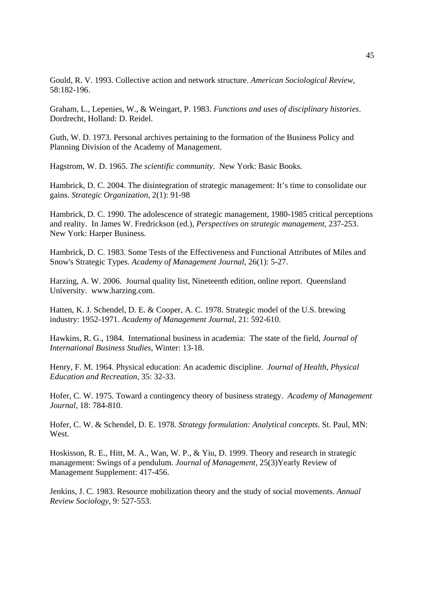Gould, R. V. 1993. Collective action and network structure. *American Sociological Review*, 58:182-196.

Graham, L., Lepenies, W., & Weingart, P. 1983. *Functions and uses of disciplinary histories*. Dordrecht, Holland: D. Reidel.

Guth, W. D. 1973. Personal archives pertaining to the formation of the Business Policy and Planning Division of the Academy of Management.

Hagstrom, W. D. 1965. *The scientific community*. New York: Basic Books.

Hambrick, D. C. 2004. The disintegration of strategic management: It's time to consolidate our gains. *Strategic Organization*, 2(1): 91-98

Hambrick, D. C. 1990. The adolescence of strategic management, 1980-1985 critical perceptions and reality. In James W. Fredrickson (ed.), *Perspectives on strategic management*, 237-253. New York: Harper Business.

Hambrick, D. C. 1983. Some Tests of the Effectiveness and Functional Attributes of Miles and Snow's Strategic Types. *Academy of Management Journal*, 26(1): 5-27.

Harzing, A. W. 2006. Journal quality list, Nineteenth edition, online report. Queensland University. www.harzing.com.

Hatten, K. J. Schendel, D. E. & Cooper, A. C. 1978. Strategic model of the U.S. brewing industry: 1952-1971. *Academy of Management Journal*, 21: 592-610.

Hawkins, R. G., 1984. International business in academia: The state of the field, *Journal of International Business Studies*, Winter: 13-18.

Henry, F. M. 1964. Physical education: An academic discipline. *Journal of Health, Physical Education and Recreation*, 35: 32-33.

Hofer, C. W. 1975. Toward a contingency theory of business strategy. *Academy of Management Journal*, 18: 784-810.

Hofer, C. W. & Schendel, D. E. 1978. *Strategy formulation: Analytical concepts*. St. Paul, MN: West.

Hoskisson, R. E., Hitt, M. A., Wan, W. P., & Yiu, D. 1999. Theory and research in strategic management: Swings of a pendulum. *Journal of Management,* 25(3)Yearly Review of Management Supplement: 417-456.

Jenkins, J. C. 1983. Resource mobilization theory and the study of social movements. *Annual Review Sociology*, 9: 527-553.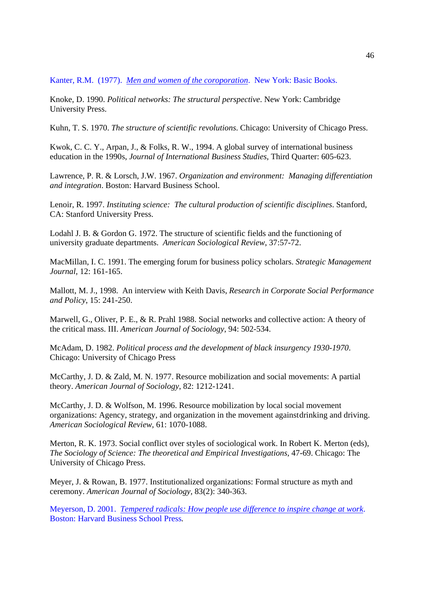Kanter, R.M. (1977). *Men and women of the coroporation*. New York: Basic Books.

Knoke, D. 1990. *Political networks: The structural perspective*. New York: Cambridge University Press.

Kuhn, T. S. 1970. *The structure of scientific revolutions*. Chicago: University of Chicago Press.

Kwok, C. C. Y., Arpan, J., & Folks, R. W., 1994. A global survey of international business education in the 1990s, *Journal of International Business Studies*, Third Quarter: 605-623.

Lawrence, P. R. & Lorsch, J.W. 1967. *Organization and environment: Managing differentiation and integration*. Boston: Harvard Business School.

Lenoir, R. 1997. *Instituting science: The cultural production of scientific disciplines*. Stanford, CA: Stanford University Press.

Lodahl J. B. & Gordon G. 1972. The structure of scientific fields and the functioning of university graduate departments. *American Sociological Review*, 37:57-72.

MacMillan, I. C. 1991. The emerging forum for business policy scholars. *Strategic Management Journal,* 12: 161-165.

Mallott, M. J., 1998. An interview with Keith Davis, *Research in Corporate Social Performance and Policy*, 15: 241-250.

Marwell, G., Oliver, P. E., & R. Prahl 1988. Social networks and collective action: A theory of the critical mass. III. *American Journal of Sociology*, 94: 502-534.

McAdam, D. 1982. *Political process and the development of black insurgency 1930-1970*. Chicago: University of Chicago Press

McCarthy, J. D. & Zald, M. N. 1977. Resource mobilization and social movements: A partial theory. *American Journal of Sociology*, 82: 1212-1241.

McCarthy, J. D. & Wolfson, M. 1996. Resource mobilization by local social movement organizations: Agency, strategy, and organization in the movement against drinking and driving. *American Sociological Review,* 61: 1070-1088.

Merton, R. K. 1973. Social conflict over styles of sociological work. In Robert K. Merton (eds), *The Sociology of Science: The theoretical and Empirical Investigations,* 47-69. Chicago: The University of Chicago Press.

Meyer, J. & Rowan, B. 1977. Institutionalized organizations: Formal structure as myth and ceremony. *American Journal of Sociology,* 83(2): 340-363.

Meyerson, D. 2001. *Tempered radicals: How people use difference to inspire change at work*. Boston: Harvard Business School Press*.*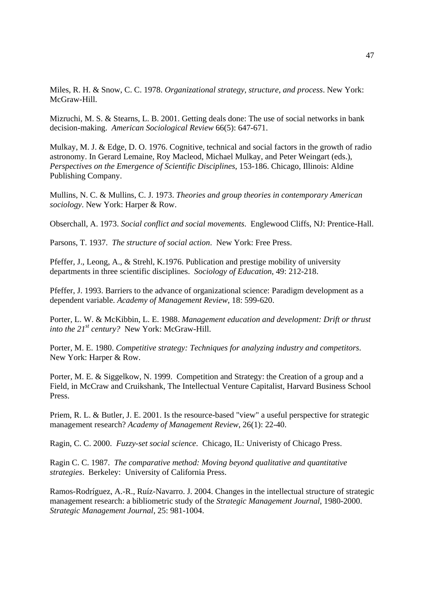Miles, R. H. & Snow, C. C. 1978. *Organizational strategy, structure, and process*. New York: McGraw-Hill.

Mizruchi, M. S. & Stearns, L. B. 2001. Getting deals done: The use of social networks in bank decision-making. *American Sociological Review* 66(5): 647-671.

Mulkay, M. J. & Edge, D. O. 1976. Cognitive, technical and social factors in the growth of radio astronomy. In Gerard Lemaine, Roy Macleod, Michael Mulkay, and Peter Weingart (eds.), *Perspectives on the Emergence of Scientific Disciplines*, 153-186. Chicago, Illinois: Aldine Publishing Company.

Mullins, N. C. & Mullins, C. J. 1973. *Theories and group theories in contemporary American sociology*. New York: Harper & Row.

Obserchall, A. 1973. *Social conflict and social movements*. Englewood Cliffs, NJ: Prentice-Hall.

Parsons, T. 1937. *The structure of social action*. New York: Free Press.

Pfeffer, J., Leong, A., & Strehl, K.1976. Publication and prestige mobility of university departments in three scientific disciplines. *Sociology of Education*, 49: 212-218.

Pfeffer, J. 1993. Barriers to the advance of organizational science: Paradigm development as a dependent variable. *Academy of Management Review*, 18: 599-620.

Porter, L. W. & McKibbin, L. E. 1988. *Management education and development: Drift or thrust into the 21st century?* New York: McGraw-Hill.

Porter, M. E. 1980. *Competitive strategy: Techniques for analyzing industry and competitors*. New York: Harper & Row.

Porter, M. E. & Siggelkow, N. 1999. Competition and Strategy: the Creation of a group and a Field, in McCraw and Cruikshank, The Intellectual Venture Capitalist, Harvard Business School Press.

Priem, R. L. & Butler, J. E. 2001. Is the resource-based "view" a useful perspective for strategic management research? *Academy of Management Review*, 26(1): 22-40.

Ragin, C. C. 2000. *Fuzzy-set social science*. Chicago, IL: Univeristy of Chicago Press.

Ragin C. C. 1987. *The comparative method: Moving beyond qualitative and quantitative strategies*. Berkeley: University of California Press.

Ramos-Rodríguez, A.-R., Ruíz-Navarro. J. 2004. Changes in the intellectual structure of strategic management research: a bibliometric study of the *Strategic Management Journal*, 1980-2000. *Strategic Management Journal*, 25: 981-1004.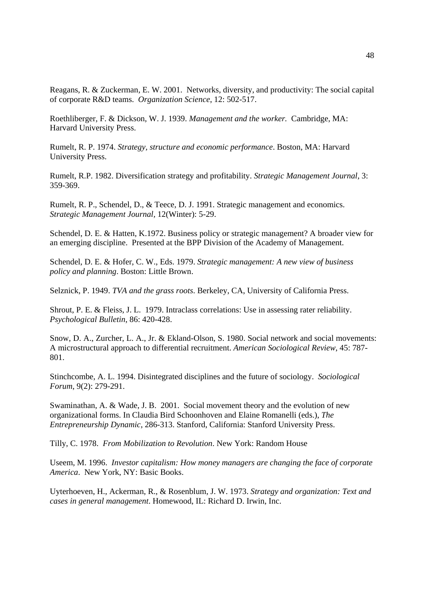Reagans, R. & Zuckerman, E. W. 2001. Networks, diversity, and productivity: The social capital of corporate R&D teams. *Organization Science*, 12: 502-517.

Roethliberger, F. & Dickson, W. J. 1939. *Management and the worker.* Cambridge, MA: Harvard University Press.

Rumelt, R. P. 1974. *Strategy, structure and economic performance*. Boston, MA: Harvard University Press.

Rumelt, R.P. 1982. Diversification strategy and profitability. *Strategic Management Journal*, 3: 359-369.

Rumelt, R. P., Schendel, D., & Teece, D. J. 1991. Strategic management and economics. *Strategic Management Journal,* 12(Winter): 5-29.

Schendel, D. E. & Hatten, K.1972. Business policy or strategic management? A broader view for an emerging discipline. Presented at the BPP Division of the Academy of Management.

Schendel, D. E. & Hofer, C. W., Eds. 1979. *Strategic management: A new view of business policy and planning*. Boston: Little Brown.

Selznick, P. 1949. *TVA and the grass roots*. Berkeley, CA, University of California Press.

Shrout, P. E. & Fleiss, J. L. 1979. Intraclass correlations: Use in assessing rater reliability. *Psychological Bulletin*, 86: 420-428.

Snow, D. A., Zurcher, L. A., Jr. & Ekland-Olson, S. 1980. Social network and social movements: A microstructural approach to differential recruitment. *American Sociological Review*, 45: 787- 801.

Stinchcombe, A. L. 1994. Disintegrated disciplines and the future of sociology. *Sociological Forum*, 9(2): 279-291.

Swaminathan, A. & Wade, J. B. 2001. Social movement theory and the evolution of new organizational forms. In Claudia Bird Schoonhoven and Elaine Romanelli (eds.), *The Entrepreneurship Dynamic*, 286-313. Stanford, California: Stanford University Press.

Tilly, C. 1978. *From Mobilization to Revolution*. New York: Random House

Useem, M. 1996. *Investor capitalism: How money managers are changing the face of corporate America*. New York, NY: Basic Books.

Uyterhoeven, H., Ackerman, R., & Rosenblum, J. W. 1973. *Strategy and organization: Text and cases in general management*. Homewood, IL: Richard D. Irwin, Inc.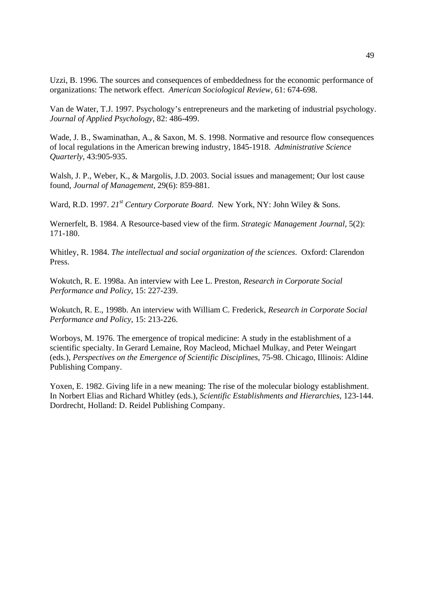Uzzi, B. 1996. The sources and consequences of embeddedness for the economic performance of organizations: The network effect. *American Sociological Review*, 61: 674-698.

Van de Water, T.J. 1997. Psychology's entrepreneurs and the marketing of industrial psychology. *Journal of Applied Psychology*, 82: 486-499.

Wade, J. B., Swaminathan, A., & Saxon, M. S. 1998. Normative and resource flow consequences of local regulations in the American brewing industry, 1845-1918. *Administrative Science Quarterly*, 43:905-935.

Walsh, J. P., Weber, K., & Margolis, J.D. 2003. Social issues and management; Our lost cause found, *Journal of Management*, 29(6): 859-881.

Ward, R.D. 1997. *21st Century Corporate Board*. New York, NY: John Wiley & Sons.

Wernerfelt, B. 1984. A Resource-based view of the firm. *Strategic Management Journal,* 5(2): 171-180.

Whitley, R. 1984. *The intellectual and social organization of the sciences*. Oxford: Clarendon Press.

Wokutch, R. E. 1998a. An interview with Lee L. Preston, *Research in Corporate Social Performance and Policy*, 15: 227-239.

Wokutch, R. E., 1998b. An interview with William C. Frederick, *Research in Corporate Social Performance and Policy*, 15: 213-226.

Worboys, M. 1976. The emergence of tropical medicine: A study in the establishment of a scientific specialty. In Gerard Lemaine, Roy Macleod, Michael Mulkay, and Peter Weingart (eds.), *Perspectives on the Emergence of Scientific Disciplines*, 75-98. Chicago, Illinois: Aldine Publishing Company.

Yoxen, E. 1982. Giving life in a new meaning: The rise of the molecular biology establishment. In Norbert Elias and Richard Whitley (eds.), *Scientific Establishments and Hierarchies,* 123-144. Dordrecht, Holland: D. Reidel Publishing Company.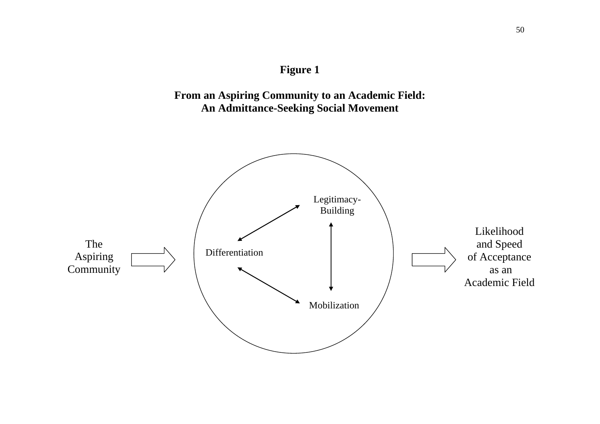**Figure 1** 

**From an Aspiring Community to an Academic Field: An Admittance-Seeking Social Movement** 

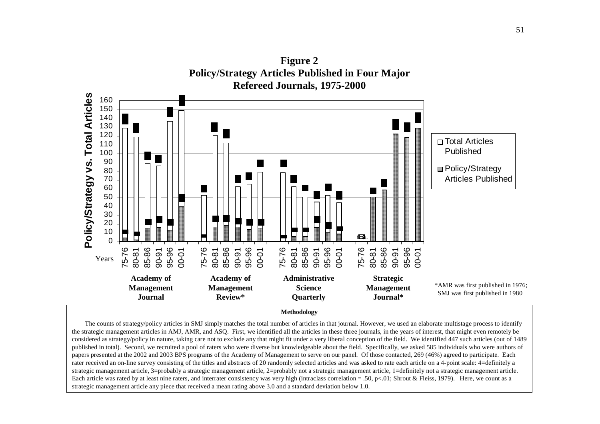

#### **Methodology**

The counts of strategy/policy articles in SMJ simply matches the total number of articles in that journal. However, we used an elaborate multistage process to identify the strategic management articles in AMJ, AMR, and ASQ. First, we identified all the articles in these three journals, in the years of interest, that might even remotely be considered as strategy/policy in nature, taking care not to exclude any that might fit under a very liberal conception of the field. We identified 447 such articles (out of 1489 published in total). Second, we recruited a pool of raters who were diverse but knowledgeable about the field. Specifically, we asked 585 individuals who were authors of papers presented at the 2002 and 2003 BPS programs of the Academy of Management to serve on our panel. Of those contacted, 269 (46%) agreed to participate. Each rater received an on-line survey consisting of the titles and abstracts of 20 randomly selected articles and was asked to rate each article on a 4-point scale: 4=definitely a strategic management article, 3=probably a strategic management article, 2=probably not a strategic management article, 1=definitely not a strategic management article. Each article was rated by at least nine raters, and interrater consistency was very high (intraclass correlation = .50, p<.01; Shrout & Fleiss, 1979). Here, we count as a strategic management article any piece that received a mean rating above 3.0 and a standard deviation below 1.0.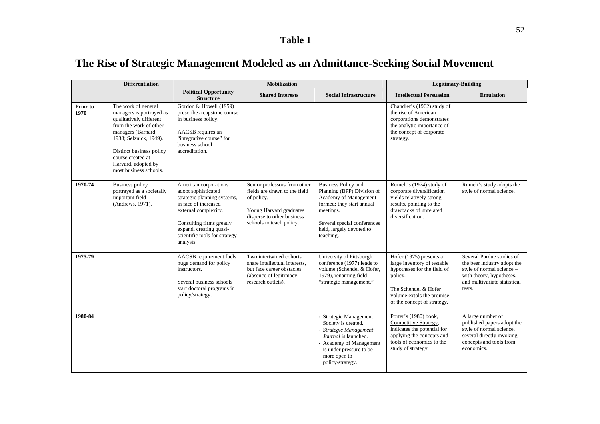# **The Rise of Strategic Management Modeled as an Admittance-Seeking Social Movement**

|                  | <b>Differentiation</b>                                                                                                                                                                                                                                 | <b>Mobilization</b>                                                                                                                                                                                                              |                                                                                                                                                                  | <b>Legitimacy-Building</b>                                                                                                                                                                          |                                                                                                                                                                                      |                                                                                                                                                             |
|------------------|--------------------------------------------------------------------------------------------------------------------------------------------------------------------------------------------------------------------------------------------------------|----------------------------------------------------------------------------------------------------------------------------------------------------------------------------------------------------------------------------------|------------------------------------------------------------------------------------------------------------------------------------------------------------------|-----------------------------------------------------------------------------------------------------------------------------------------------------------------------------------------------------|--------------------------------------------------------------------------------------------------------------------------------------------------------------------------------------|-------------------------------------------------------------------------------------------------------------------------------------------------------------|
|                  |                                                                                                                                                                                                                                                        | <b>Political Opportunity</b><br><b>Structure</b>                                                                                                                                                                                 | <b>Shared Interests</b>                                                                                                                                          | <b>Social Infrastructure</b>                                                                                                                                                                        | <b>Intellectual Persuasion</b>                                                                                                                                                       | <b>Emulation</b>                                                                                                                                            |
| Prior to<br>1970 | The work of general<br>managers is portrayed as<br>qualitatively different<br>from the work of other<br>managers (Barnard,<br>1938; Selznick, 1949).<br>Distinct business policy<br>course created at<br>Harvard, adopted by<br>most business schools. | Gordon & Howell (1959)<br>prescribe a capstone course<br>in business policy.<br>AACSB requires an<br>"integrative course" for<br>business school<br>accreditation.                                                               |                                                                                                                                                                  |                                                                                                                                                                                                     | Chandler's (1962) study of<br>the rise of American<br>corporations demonstrates<br>the analytic importance of<br>the concept of corporate<br>strategy.                               |                                                                                                                                                             |
| 1970-74          | <b>Business policy</b><br>portrayed as a societally<br>important field<br>(Andrews, 1971).                                                                                                                                                             | American corporations<br>adopt sophisticated<br>strategic planning systems,<br>in face of increased<br>external complexity.<br>Consulting firms greatly<br>expand, creating quasi-<br>scientific tools for strategy<br>analysis. | Senior professors from other<br>fields are drawn to the field<br>of policy.<br>Young Harvard graduates<br>disperse to other business<br>schools to teach policy. | <b>Business Policy and</b><br>Planning (BPP) Division of<br>Academy of Management<br>formed; they start annual<br>meetings.<br>Several special conferences<br>held, largely devoted to<br>teaching. | Rumelt's (1974) study of<br>corporate diversification<br>vields relatively strong<br>results, pointing to the<br>drawbacks of unrelated<br>diversification.                          | Rumelt's study adopts the<br>style of normal science.                                                                                                       |
| 1975-79          |                                                                                                                                                                                                                                                        | AACSB requirement fuels<br>huge demand for policy<br>instructors.<br>Several business schools<br>start doctoral programs in<br>policy/strategy.                                                                                  | Two intertwined cohorts<br>share intellectual interests.<br>but face career obstacles<br>(absence of legitimacy,<br>research outlets).                           | University of Pittsburgh<br>conference (1977) leads to<br>volume (Schendel & Hofer,<br>1979), renaming field<br>"strategic management."                                                             | Hofer (1975) presents a<br>large inventory of testable<br>hypotheses for the field of<br>policy.<br>The Schendel & Hofer<br>volume extols the promise<br>of the concept of strategy. | Several Purdue studies of<br>the beer industry adopt the<br>style of normal science -<br>with theory, hypotheses,<br>and multivariate statistical<br>tests. |
| 1980-84          |                                                                                                                                                                                                                                                        |                                                                                                                                                                                                                                  |                                                                                                                                                                  | Strategic Management<br>Society is created.<br>Strategic Management<br>Journal is launched.<br>Academy of Management<br>is under pressure to be<br>more open to<br>policy/strategy.                 | Porter's (1980) book,<br>Competitive Strategy,<br>indicates the potential for<br>applying the concepts and<br>tools of economics to the<br>study of strategy.                        | A large number of<br>published papers adopt the<br>style of normal science,<br>several directly invoking<br>concepts and tools from<br>economics.           |